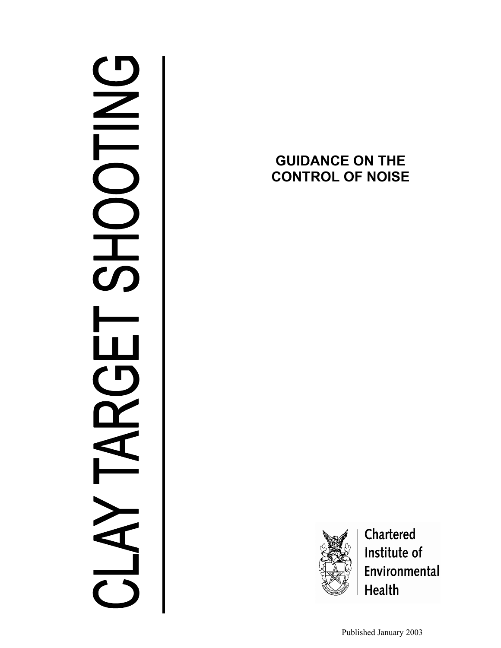# $\frac{C}{L}$ **S**  $\mathbf{L}$  $\blacksquare$

# **GUIDANCE ON THE CONTROL OF NOISE**



Chartered Institute of Environmental **Health** 

Published January 2003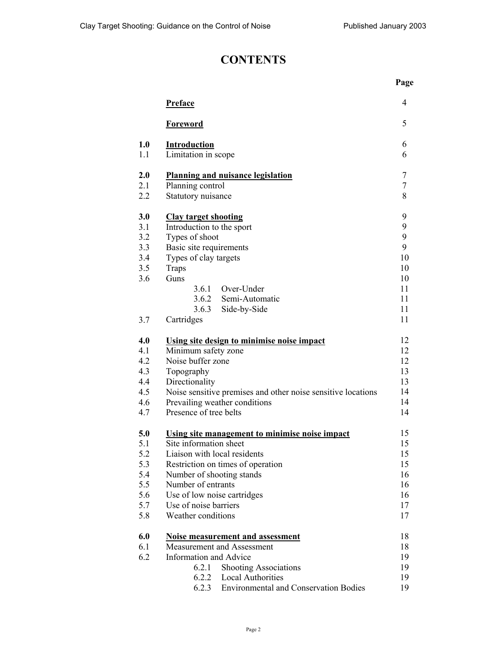## **CONTENTS**

|     |                                                              | Page             |
|-----|--------------------------------------------------------------|------------------|
|     | <b>Preface</b>                                               | 4                |
|     | <b>Foreword</b>                                              | 5                |
| 1.0 | <b>Introduction</b>                                          | 6                |
| 1.1 | Limitation in scope                                          | 6                |
| 2.0 | <b>Planning and nuisance legislation</b>                     | $\tau$           |
| 2.1 | Planning control                                             | $\boldsymbol{7}$ |
| 2.2 | Statutory nuisance                                           | 8                |
| 3.0 | <b>Clay target shooting</b>                                  | 9                |
| 3.1 | Introduction to the sport                                    | 9                |
| 3.2 | Types of shoot                                               | 9                |
| 3.3 | Basic site requirements                                      | 9                |
| 3.4 | Types of clay targets                                        | 10               |
| 3.5 | <b>Traps</b>                                                 | 10               |
| 3.6 | Guns                                                         | 10               |
|     | 3.6.1<br>Over-Under                                          | 11               |
|     | 3.6.2<br>Semi-Automatic                                      | 11               |
|     | 3.6.3<br>Side-by-Side                                        | 11               |
| 3.7 | Cartridges                                                   | 11               |
| 4.0 | Using site design to minimise noise impact                   | 12               |
| 4.1 | Minimum safety zone                                          | 12               |
| 4.2 | Noise buffer zone                                            | 12               |
| 4.3 | Topography                                                   | 13               |
| 4.4 | Directionality                                               | 13               |
| 4.5 | Noise sensitive premises and other noise sensitive locations | 14               |
| 4.6 | Prevailing weather conditions                                | 14               |
| 4.7 | Presence of tree belts                                       | 14               |
| 5.0 | Using site management to minimise noise impact               | 15               |
| 5.1 | Site information sheet                                       | 15               |
| 5.2 | Liaison with local residents                                 | 15               |
| 5.3 | Restriction on times of operation                            | 15               |
| 5.4 | Number of shooting stands                                    | 16               |
| 5.5 | Number of entrants                                           | 16               |
| 5.6 | Use of low noise cartridges                                  | 16               |
| 5.7 | Use of noise barriers                                        | 17               |
| 5.8 | Weather conditions                                           | 17               |
| 6.0 | <b>Noise measurement and assessment</b>                      | 18               |
| 6.1 | Measurement and Assessment                                   | 18               |
| 6.2 | <b>Information and Advice</b>                                | 19               |
|     | 6.2.1<br><b>Shooting Associations</b>                        | 19               |
|     | 6.2.2 Local Authorities                                      | 19               |
|     | 6.2.3<br><b>Environmental and Conservation Bodies</b>        | 19               |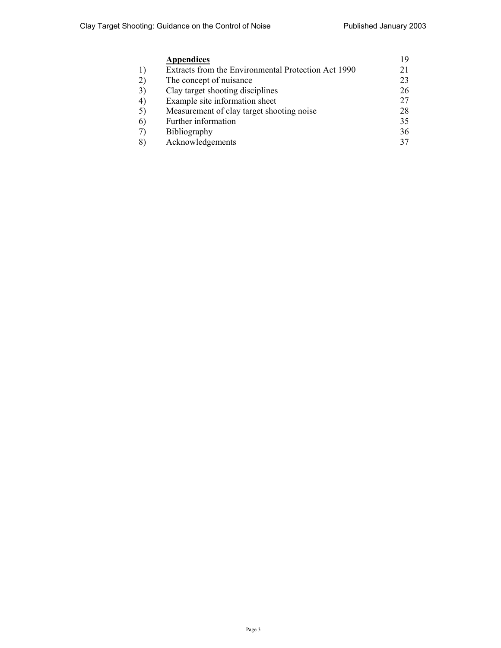|    | <b>Appendices</b>                                   | 19 |
|----|-----------------------------------------------------|----|
| 1) | Extracts from the Environmental Protection Act 1990 | 21 |
| 2) | The concept of nuisance                             | 23 |
| 3) | Clay target shooting disciplines                    | 26 |
| 4) | Example site information sheet                      | 27 |
| 5) | Measurement of clay target shooting noise           | 28 |
| 6) | Further information                                 | 35 |
| 7) | Bibliography                                        | 36 |
| 8) | Acknowledgements                                    | 37 |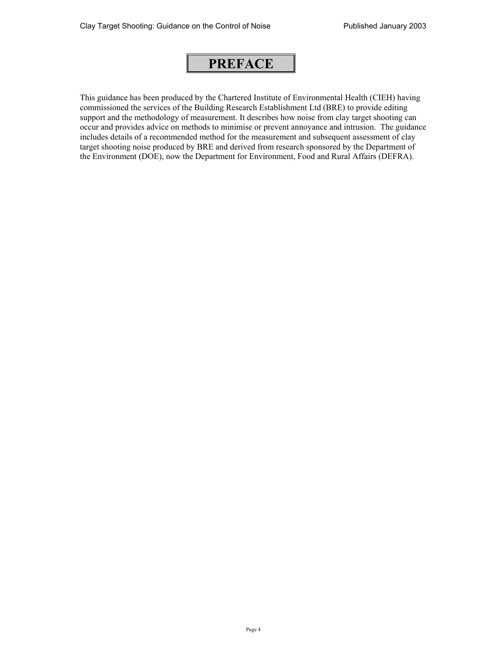# **PREFACE**

This guidance has been produced by the Chartered Institute of Environmental Health (CIEH) having commissioned the services of the Building Research Establishment Ltd (BRE) to provide editing support and the methodology of measurement. It describes how noise from clay target shooting can occur and provides advice on methods to minimise or prevent annoyance and intrusion. The guidance includes details of a recommended method for the measurement and subsequent assessment of clay target shooting noise produced by BRE and derived from research sponsored by the Department of the Environment (DOE), now the Department for Environment, Food and Rural Affairs (DEFRA).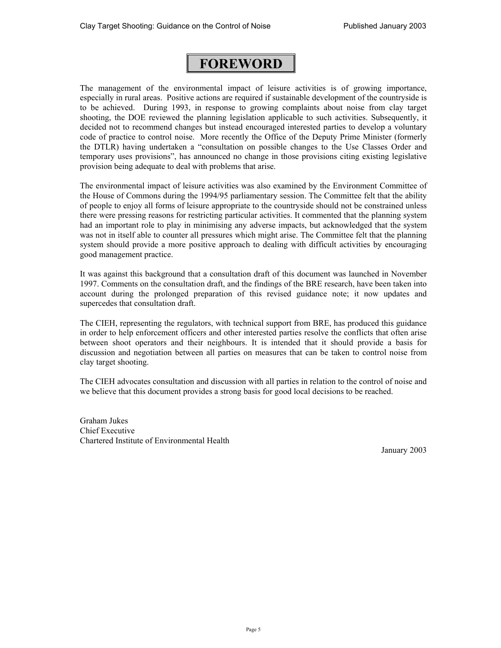# **FOREWORD**

The management of the environmental impact of leisure activities is of growing importance, especially in rural areas. Positive actions are required if sustainable development of the countryside is to be achieved. During 1993, in response to growing complaints about noise from clay target shooting, the DOE reviewed the planning legislation applicable to such activities. Subsequently, it decided not to recommend changes but instead encouraged interested parties to develop a voluntary code of practice to control noise. More recently the Office of the Deputy Prime Minister (formerly the DTLR) having undertaken a "consultation on possible changes to the Use Classes Order and temporary uses provisions", has announced no change in those provisions citing existing legislative provision being adequate to deal with problems that arise.

The environmental impact of leisure activities was also examined by the Environment Committee of the House of Commons during the 1994/95 parliamentary session. The Committee felt that the ability of people to enjoy all forms of leisure appropriate to the countryside should not be constrained unless there were pressing reasons for restricting particular activities. It commented that the planning system had an important role to play in minimising any adverse impacts, but acknowledged that the system was not in itself able to counter all pressures which might arise. The Committee felt that the planning system should provide a more positive approach to dealing with difficult activities by encouraging good management practice.

It was against this background that a consultation draft of this document was launched in November 1997. Comments on the consultation draft, and the findings of the BRE research, have been taken into account during the prolonged preparation of this revised guidance note; it now updates and supercedes that consultation draft.

The CIEH, representing the regulators, with technical support from BRE, has produced this guidance in order to help enforcement officers and other interested parties resolve the conflicts that often arise between shoot operators and their neighbours. It is intended that it should provide a basis for discussion and negotiation between all parties on measures that can be taken to control noise from clay target shooting.

The CIEH advocates consultation and discussion with all parties in relation to the control of noise and we believe that this document provides a strong basis for good local decisions to be reached.

Graham Jukes Chief Executive Chartered Institute of Environmental Health

January 2003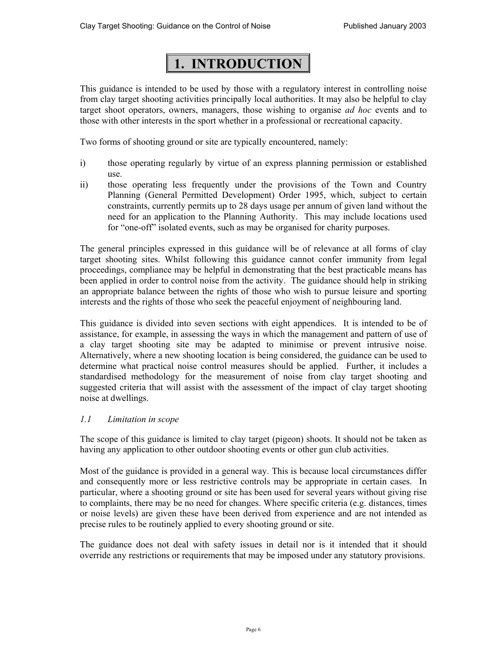# **1. INTRODUCTION**

This guidance is intended to be used by those with a regulatory interest in controlling noise from clay target shooting activities principally local authorities. It may also be helpful to clay target shoot operators, owners, managers, those wishing to organise *ad hoc* events and to those with other interests in the sport whether in a professional or recreational capacity.

Two forms of shooting ground or site are typically encountered, namely:

- i) those operating regularly by virtue of an express planning permission or established use.
- ii) those operating less frequently under the provisions of the Town and Country Planning (General Permitted Development) Order 1995, which, subject to certain constraints, currently permits up to 28 days usage per annum of given land without the need for an application to the Planning Authority. This may include locations used for "one-off" isolated events, such as may be organised for charity purposes.

The general principles expressed in this guidance will be of relevance at all forms of clay target shooting sites. Whilst following this guidance cannot confer immunity from legal proceedings, compliance may be helpful in demonstrating that the best practicable means has been applied in order to control noise from the activity. The guidance should help in striking an appropriate balance between the rights of those who wish to pursue leisure and sporting interests and the rights of those who seek the peaceful enjoyment of neighbouring land.

This guidance is divided into seven sections with eight appendices. It is intended to be of assistance, for example, in assessing the ways in which the management and pattern of use of a clay target shooting site may be adapted to minimise or prevent intrusive noise. Alternatively, where a new shooting location is being considered, the guidance can be used to determine what practical noise control measures should be applied. Further, it includes a standardised methodology for the measurement of noise from clay target shooting and suggested criteria that will assist with the assessment of the impact of clay target shooting noise at dwellings.

## *1.1 Limitation in scope*

The scope of this guidance is limited to clay target (pigeon) shoots. It should not be taken as having any application to other outdoor shooting events or other gun club activities.

Most of the guidance is provided in a general way. This is because local circumstances differ and consequently more or less restrictive controls may be appropriate in certain cases. In particular, where a shooting ground or site has been used for several years without giving rise to complaints, there may be no need for changes. Where specific criteria (e.g. distances, times or noise levels) are given these have been derived from experience and are not intended as precise rules to be routinely applied to every shooting ground or site.

The guidance does not deal with safety issues in detail nor is it intended that it should override any restrictions or requirements that may be imposed under any statutory provisions.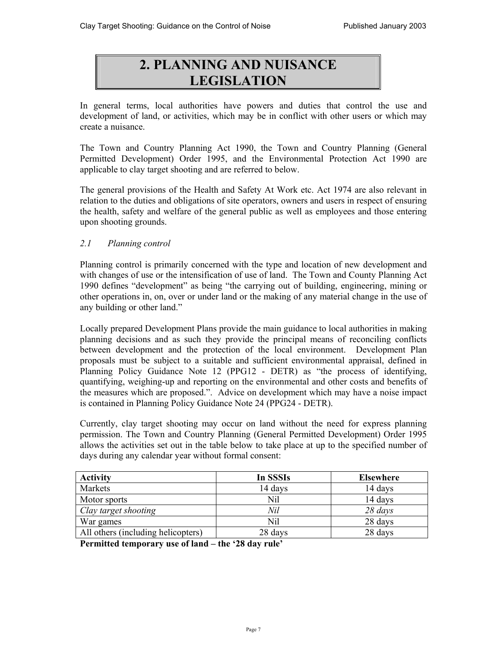# **2. PLANNING AND NUISANCE LEGISLATION**

In general terms, local authorities have powers and duties that control the use and development of land, or activities, which may be in conflict with other users or which may create a nuisance.

The Town and Country Planning Act 1990, the Town and Country Planning (General Permitted Development) Order 1995, and the Environmental Protection Act 1990 are applicable to clay target shooting and are referred to below.

The general provisions of the Health and Safety At Work etc. Act 1974 are also relevant in relation to the duties and obligations of site operators, owners and users in respect of ensuring the health, safety and welfare of the general public as well as employees and those entering upon shooting grounds.

## *2.1 Planning control*

Planning control is primarily concerned with the type and location of new development and with changes of use or the intensification of use of land. The Town and County Planning Act 1990 defines "development" as being "the carrying out of building, engineering, mining or other operations in, on, over or under land or the making of any material change in the use of any building or other land."

Locally prepared Development Plans provide the main guidance to local authorities in making planning decisions and as such they provide the principal means of reconciling conflicts between development and the protection of the local environment. Development Plan proposals must be subject to a suitable and sufficient environmental appraisal, defined in Planning Policy Guidance Note 12 (PPG12 - DETR) as "the process of identifying, quantifying, weighing-up and reporting on the environmental and other costs and benefits of the measures which are proposed.". Advice on development which may have a noise impact is contained in Planning Policy Guidance Note 24 (PPG24 - DETR).

Currently, clay target shooting may occur on land without the need for express planning permission. The Town and Country Planning (General Permitted Development) Order 1995 allows the activities set out in the table below to take place at up to the specified number of days during any calendar year without formal consent:

| <b>Activity</b>                    | In SSSIs | <b>Elsewhere</b> |
|------------------------------------|----------|------------------|
| Markets                            | 14 days  | 14 days          |
| Motor sports                       | Nil      | 14 days          |
| Clay target shooting               | Nil      | $28 \, days$     |
| War games                          | Nil      | 28 days          |
| All others (including helicopters) | 28 days  | 28 days          |

**Permitted temporary use of land – the '28 day rule'**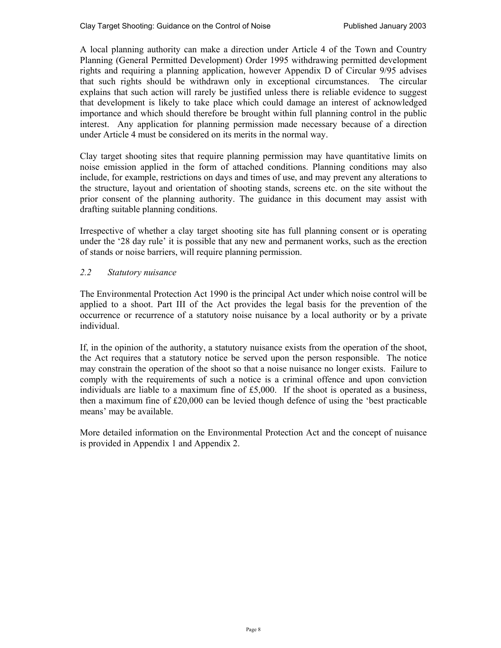A local planning authority can make a direction under Article 4 of the Town and Country Planning (General Permitted Development) Order 1995 withdrawing permitted development rights and requiring a planning application, however Appendix D of Circular 9/95 advises that such rights should be withdrawn only in exceptional circumstances. The circular explains that such action will rarely be justified unless there is reliable evidence to suggest that development is likely to take place which could damage an interest of acknowledged importance and which should therefore be brought within full planning control in the public interest. Any application for planning permission made necessary because of a direction under Article 4 must be considered on its merits in the normal way.

Clay target shooting sites that require planning permission may have quantitative limits on noise emission applied in the form of attached conditions. Planning conditions may also include, for example, restrictions on days and times of use, and may prevent any alterations to the structure, layout and orientation of shooting stands, screens etc. on the site without the prior consent of the planning authority. The guidance in this document may assist with drafting suitable planning conditions.

Irrespective of whether a clay target shooting site has full planning consent or is operating under the '28 day rule' it is possible that any new and permanent works, such as the erection of stands or noise barriers, will require planning permission.

## *2.2 Statutory nuisance*

The Environmental Protection Act 1990 is the principal Act under which noise control will be applied to a shoot. Part III of the Act provides the legal basis for the prevention of the occurrence or recurrence of a statutory noise nuisance by a local authority or by a private individual.

If, in the opinion of the authority, a statutory nuisance exists from the operation of the shoot, the Act requires that a statutory notice be served upon the person responsible. The notice may constrain the operation of the shoot so that a noise nuisance no longer exists. Failure to comply with the requirements of such a notice is a criminal offence and upon conviction individuals are liable to a maximum fine of £5,000. If the shoot is operated as a business, then a maximum fine of £20,000 can be levied though defence of using the 'best practicable means' may be available.

More detailed information on the Environmental Protection Act and the concept of nuisance is provided in Appendix 1 and Appendix 2.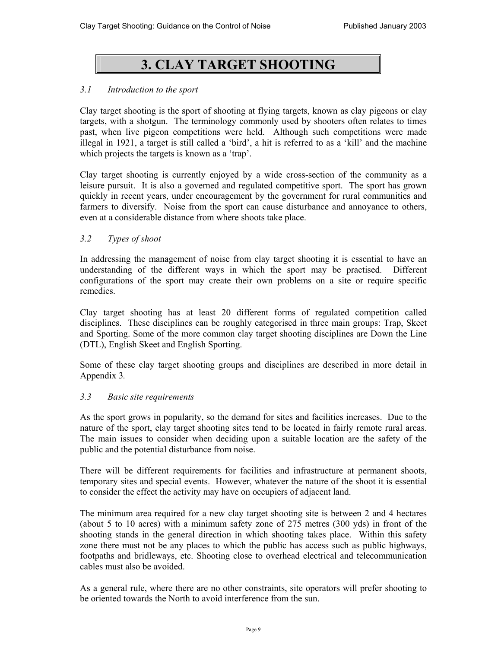# **3. CLAY TARGET SHOOTING**

## *3.1 Introduction to the sport*

Clay target shooting is the sport of shooting at flying targets, known as clay pigeons or clay targets, with a shotgun. The terminology commonly used by shooters often relates to times past, when live pigeon competitions were held. Although such competitions were made illegal in 1921, a target is still called a 'bird', a hit is referred to as a 'kill' and the machine which projects the targets is known as a 'trap'.

Clay target shooting is currently enjoyed by a wide cross-section of the community as a leisure pursuit. It is also a governed and regulated competitive sport. The sport has grown quickly in recent years, under encouragement by the government for rural communities and farmers to diversify. Noise from the sport can cause disturbance and annoyance to others, even at a considerable distance from where shoots take place.

## *3.2 Types of shoot*

In addressing the management of noise from clay target shooting it is essential to have an understanding of the different ways in which the sport may be practised. Different configurations of the sport may create their own problems on a site or require specific remedies.

Clay target shooting has at least 20 different forms of regulated competition called disciplines. These disciplines can be roughly categorised in three main groups: Trap, Skeet and Sporting. Some of the more common clay target shooting disciplines are Down the Line (DTL), English Skeet and English Sporting.

Some of these clay target shooting groups and disciplines are described in more detail in Appendix 3*.* 

## *3.3 Basic site requirements*

As the sport grows in popularity, so the demand for sites and facilities increases. Due to the nature of the sport, clay target shooting sites tend to be located in fairly remote rural areas. The main issues to consider when deciding upon a suitable location are the safety of the public and the potential disturbance from noise.

There will be different requirements for facilities and infrastructure at permanent shoots, temporary sites and special events. However, whatever the nature of the shoot it is essential to consider the effect the activity may have on occupiers of adjacent land.

The minimum area required for a new clay target shooting site is between 2 and 4 hectares (about 5 to 10 acres) with a minimum safety zone of 275 metres (300 yds) in front of the shooting stands in the general direction in which shooting takes place. Within this safety zone there must not be any places to which the public has access such as public highways, footpaths and bridleways, etc. Shooting close to overhead electrical and telecommunication cables must also be avoided.

As a general rule, where there are no other constraints, site operators will prefer shooting to be oriented towards the North to avoid interference from the sun.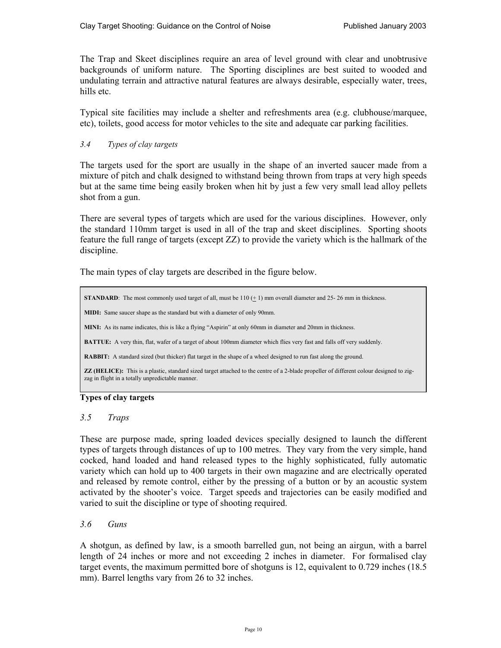The Trap and Skeet disciplines require an area of level ground with clear and unobtrusive backgrounds of uniform nature. The Sporting disciplines are best suited to wooded and undulating terrain and attractive natural features are always desirable, especially water, trees, hills etc.

Typical site facilities may include a shelter and refreshments area (e.g. clubhouse/marquee, etc), toilets, good access for motor vehicles to the site and adequate car parking facilities.

## *3.4 Types of clay targets*

The targets used for the sport are usually in the shape of an inverted saucer made from a mixture of pitch and chalk designed to withstand being thrown from traps at very high speeds but at the same time being easily broken when hit by just a few very small lead alloy pellets shot from a gun.

There are several types of targets which are used for the various disciplines. However, only the standard 110mm target is used in all of the trap and skeet disciplines. Sporting shoots feature the full range of targets (except ZZ) to provide the variety which is the hallmark of the discipline.

The main types of clay targets are described in the figure below.

**STANDARD**: The most commonly used target of all, must be  $110 (\pm 1)$  mm overall diameter and 25-26 mm in thickness. **MIDI:** Same saucer shape as the standard but with a diameter of only 90mm. **MINI:** As its name indicates, this is like a flying "Aspirin" at only 60mm in diameter and 20mm in thickness. **BATTUE:** A very thin, flat, wafer of a target of about 100mm diameter which flies very fast and falls off very suddenly. **RABBIT:** A standard sized (but thicker) flat target in the shape of a wheel designed to run fast along the ground. **ZZ (HELICE):** This is a plastic, standard sized target attached to the centre of a 2-blade propeller of different colour designed to zigzag in flight in a totally unpredictable manner.

### **Types of clay targets**

## *3.5 Traps*

These are purpose made, spring loaded devices specially designed to launch the different types of targets through distances of up to 100 metres. They vary from the very simple, hand cocked, hand loaded and hand released types to the highly sophisticated, fully automatic variety which can hold up to 400 targets in their own magazine and are electrically operated and released by remote control, either by the pressing of a button or by an acoustic system activated by the shooter's voice. Target speeds and trajectories can be easily modified and varied to suit the discipline or type of shooting required.

## *3.6 Guns*

A shotgun, as defined by law, is a smooth barrelled gun, not being an airgun, with a barrel length of 24 inches or more and not exceeding 2 inches in diameter. For formalised clay target events, the maximum permitted bore of shotguns is 12, equivalent to 0.729 inches (18.5 mm). Barrel lengths vary from 26 to 32 inches.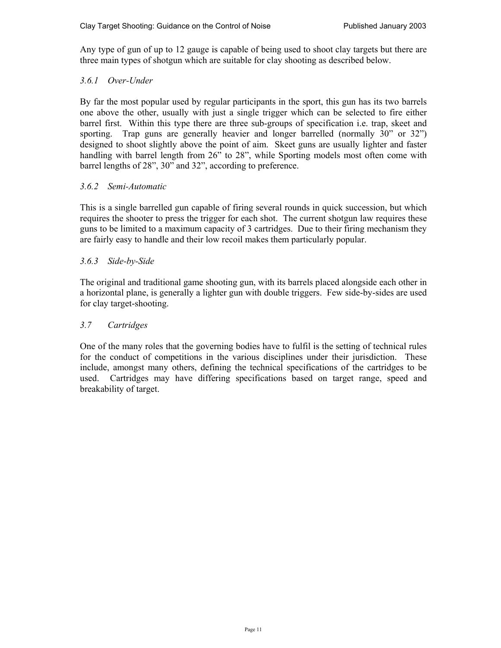Any type of gun of up to 12 gauge is capable of being used to shoot clay targets but there are three main types of shotgun which are suitable for clay shooting as described below.

## *3.6.1 Over-Under*

By far the most popular used by regular participants in the sport, this gun has its two barrels one above the other, usually with just a single trigger which can be selected to fire either barrel first. Within this type there are three sub-groups of specification i.e. trap, skeet and sporting. Trap guns are generally heavier and longer barrelled (normally 30" or 32") designed to shoot slightly above the point of aim. Skeet guns are usually lighter and faster handling with barrel length from 26" to 28", while Sporting models most often come with barrel lengths of 28", 30" and 32", according to preference.

## *3.6.2 Semi-Automatic*

This is a single barrelled gun capable of firing several rounds in quick succession, but which requires the shooter to press the trigger for each shot. The current shotgun law requires these guns to be limited to a maximum capacity of 3 cartridges. Due to their firing mechanism they are fairly easy to handle and their low recoil makes them particularly popular.

## *3.6.3 Side-by-Side*

The original and traditional game shooting gun, with its barrels placed alongside each other in a horizontal plane, is generally a lighter gun with double triggers. Few side-by-sides are used for clay target-shooting.

## *3.7 Cartridges*

One of the many roles that the governing bodies have to fulfil is the setting of technical rules for the conduct of competitions in the various disciplines under their jurisdiction. These include, amongst many others, defining the technical specifications of the cartridges to be used. Cartridges may have differing specifications based on target range, speed and breakability of target.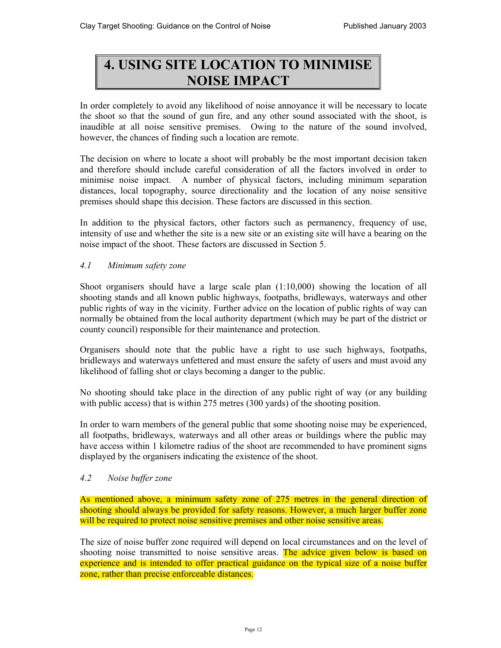# **4. USING SITE LOCATION TO MINIMISE NOISE IMPACT**

In order completely to avoid any likelihood of noise annoyance it will be necessary to locate the shoot so that the sound of gun fire, and any other sound associated with the shoot, is inaudible at all noise sensitive premises. Owing to the nature of the sound involved, however, the chances of finding such a location are remote.

The decision on where to locate a shoot will probably be the most important decision taken and therefore should include careful consideration of all the factors involved in order to minimise noise impact. A number of physical factors, including minimum separation distances, local topography, source directionality and the location of any noise sensitive premises should shape this decision. These factors are discussed in this section.

In addition to the physical factors, other factors such as permanency, frequency of use, intensity of use and whether the site is a new site or an existing site will have a bearing on the noise impact of the shoot. These factors are discussed in Section 5.

## *4.1 Minimum safety zone*

Shoot organisers should have a large scale plan (1:10,000) showing the location of all shooting stands and all known public highways, footpaths, bridleways, waterways and other public rights of way in the vicinity. Further advice on the location of public rights of way can normally be obtained from the local authority department (which may be part of the district or county council) responsible for their maintenance and protection.

Organisers should note that the public have a right to use such highways, footpaths, bridleways and waterways unfettered and must ensure the safety of users and must avoid any likelihood of falling shot or clays becoming a danger to the public.

No shooting should take place in the direction of any public right of way (or any building with public access) that is within 275 metres (300 yards) of the shooting position.

In order to warn members of the general public that some shooting noise may be experienced, all footpaths, bridleways, waterways and all other areas or buildings where the public may have access within 1 kilometre radius of the shoot are recommended to have prominent signs displayed by the organisers indicating the existence of the shoot.

## *4.2 Noise buffer zone*

As mentioned above, a minimum safety zone of 275 metres in the general direction of shooting should always be provided for safety reasons. However, a much larger buffer zone will be required to protect noise sensitive premises and other noise sensitive areas.

The size of noise buffer zone required will depend on local circumstances and on the level of shooting noise transmitted to noise sensitive areas. The advice given below is based on experience and is intended to offer practical guidance on the typical size of a noise buffer zone, rather than precise enforceable distances.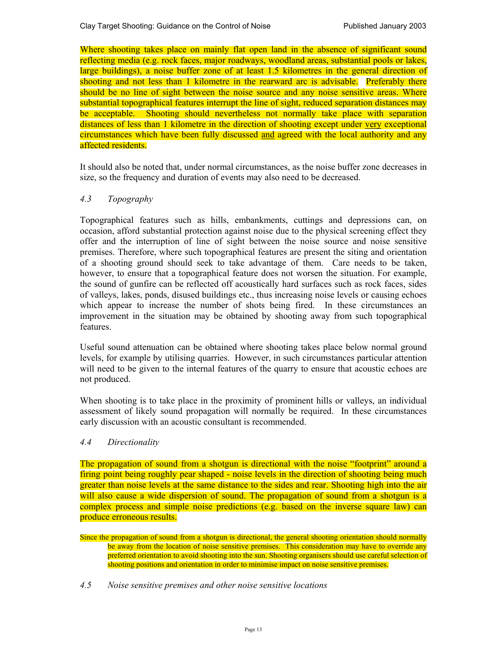Where shooting takes place on mainly flat open land in the absence of significant sound reflecting media (e.g. rock faces, major roadways, woodland areas, substantial pools or lakes, large buildings), a noise buffer zone of at least 1.5 kilometres in the general direction of shooting and not less than 1 kilometre in the rearward arc is advisable. Preferably there should be no line of sight between the noise source and any noise sensitive areas. Where substantial topographical features interrupt the line of sight, reduced separation distances may be acceptable. Shooting should nevertheless not normally take place with separation distances of less than 1 kilometre in the direction of shooting except under very exceptional circumstances which have been fully discussed and agreed with the local authority and any affected residents.

It should also be noted that, under normal circumstances, as the noise buffer zone decreases in size, so the frequency and duration of events may also need to be decreased.

## *4.3 Topography*

Topographical features such as hills, embankments, cuttings and depressions can, on occasion, afford substantial protection against noise due to the physical screening effect they offer and the interruption of line of sight between the noise source and noise sensitive premises. Therefore, where such topographical features are present the siting and orientation of a shooting ground should seek to take advantage of them. Care needs to be taken, however, to ensure that a topographical feature does not worsen the situation. For example, the sound of gunfire can be reflected off acoustically hard surfaces such as rock faces, sides of valleys, lakes, ponds, disused buildings etc., thus increasing noise levels or causing echoes which appear to increase the number of shots being fired. In these circumstances an improvement in the situation may be obtained by shooting away from such topographical features.

Useful sound attenuation can be obtained where shooting takes place below normal ground levels, for example by utilising quarries. However, in such circumstances particular attention will need to be given to the internal features of the quarry to ensure that acoustic echoes are not produced.

When shooting is to take place in the proximity of prominent hills or valleys, an individual assessment of likely sound propagation will normally be required. In these circumstances early discussion with an acoustic consultant is recommended.

## *4.4 Directionality*

The propagation of sound from a shotgun is directional with the noise "footprint" around a firing point being roughly pear shaped - noise levels in the direction of shooting being much greater than noise levels at the same distance to the sides and rear. Shooting high into the air will also cause a wide dispersion of sound. The propagation of sound from a shotgun is a complex process and simple noise predictions (e.g. based on the inverse square law) can produce erroneous results.

Since the propagation of sound from a shotgun is directional, the general shooting orientation should normally be away from the location of noise sensitive premises. This consideration may have to override any preferred orientation to avoid shooting into the sun. Shooting organisers should use careful selection of shooting positions and orientation in order to minimise impact on noise sensitive premises.

*4.5 Noise sensitive premises and other noise sensitive locations*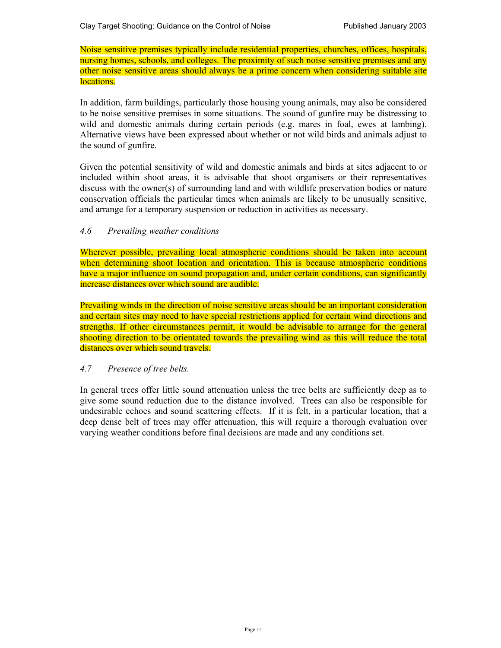Noise sensitive premises typically include residential properties, churches, offices, hospitals, nursing homes, schools, and colleges. The proximity of such noise sensitive premises and any other noise sensitive areas should always be a prime concern when considering suitable site locations.

In addition, farm buildings, particularly those housing young animals, may also be considered to be noise sensitive premises in some situations. The sound of gunfire may be distressing to wild and domestic animals during certain periods (e.g. mares in foal, ewes at lambing). Alternative views have been expressed about whether or not wild birds and animals adjust to the sound of gunfire.

Given the potential sensitivity of wild and domestic animals and birds at sites adjacent to or included within shoot areas, it is advisable that shoot organisers or their representatives discuss with the owner(s) of surrounding land and with wildlife preservation bodies or nature conservation officials the particular times when animals are likely to be unusually sensitive, and arrange for a temporary suspension or reduction in activities as necessary.

## *4.6 Prevailing weather conditions*

Wherever possible, prevailing local atmospheric conditions should be taken into account when determining shoot location and orientation. This is because atmospheric conditions have a major influence on sound propagation and, under certain conditions, can significantly increase distances over which sound are audible.

Prevailing winds in the direction of noise sensitive areas should be an important consideration and certain sites may need to have special restrictions applied for certain wind directions and strengths. If other circumstances permit, it would be advisable to arrange for the general shooting direction to be orientated towards the prevailing wind as this will reduce the total distances over which sound travels.

## *4.7 Presence of tree belts.*

In general trees offer little sound attenuation unless the tree belts are sufficiently deep as to give some sound reduction due to the distance involved. Trees can also be responsible for undesirable echoes and sound scattering effects. If it is felt, in a particular location, that a deep dense belt of trees may offer attenuation, this will require a thorough evaluation over varying weather conditions before final decisions are made and any conditions set.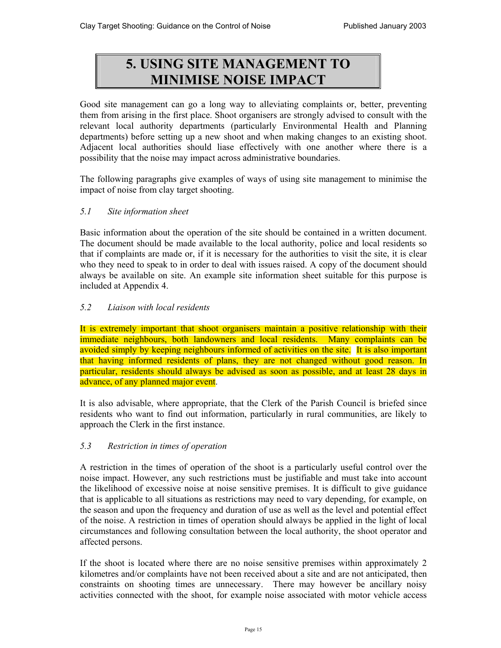# **5. USING SITE MANAGEMENT TO MINIMISE NOISE IMPACT**

Good site management can go a long way to alleviating complaints or, better, preventing them from arising in the first place. Shoot organisers are strongly advised to consult with the relevant local authority departments (particularly Environmental Health and Planning departments) before setting up a new shoot and when making changes to an existing shoot. Adjacent local authorities should liase effectively with one another where there is a possibility that the noise may impact across administrative boundaries.

The following paragraphs give examples of ways of using site management to minimise the impact of noise from clay target shooting.

## *5.1 Site information sheet*

Basic information about the operation of the site should be contained in a written document. The document should be made available to the local authority, police and local residents so that if complaints are made or, if it is necessary for the authorities to visit the site, it is clear who they need to speak to in order to deal with issues raised. A copy of the document should always be available on site. An example site information sheet suitable for this purpose is included at Appendix 4.

## *5.2 Liaison with local residents*

It is extremely important that shoot organisers maintain a positive relationship with their immediate neighbours, both landowners and local residents. Many complaints can be avoided simply by keeping neighbours informed of activities on the site. It is also important that having informed residents of plans, they are not changed without good reason. In particular, residents should always be advised as soon as possible, and at least 28 days in advance, of any planned major event.

It is also advisable, where appropriate, that the Clerk of the Parish Council is briefed since residents who want to find out information, particularly in rural communities, are likely to approach the Clerk in the first instance.

## *5.3 Restriction in times of operation*

A restriction in the times of operation of the shoot is a particularly useful control over the noise impact. However, any such restrictions must be justifiable and must take into account the likelihood of excessive noise at noise sensitive premises. It is difficult to give guidance that is applicable to all situations as restrictions may need to vary depending, for example, on the season and upon the frequency and duration of use as well as the level and potential effect of the noise. A restriction in times of operation should always be applied in the light of local circumstances and following consultation between the local authority, the shoot operator and affected persons.

If the shoot is located where there are no noise sensitive premises within approximately 2 kilometres and/or complaints have not been received about a site and are not anticipated, then constraints on shooting times are unnecessary. There may however be ancillary noisy activities connected with the shoot, for example noise associated with motor vehicle access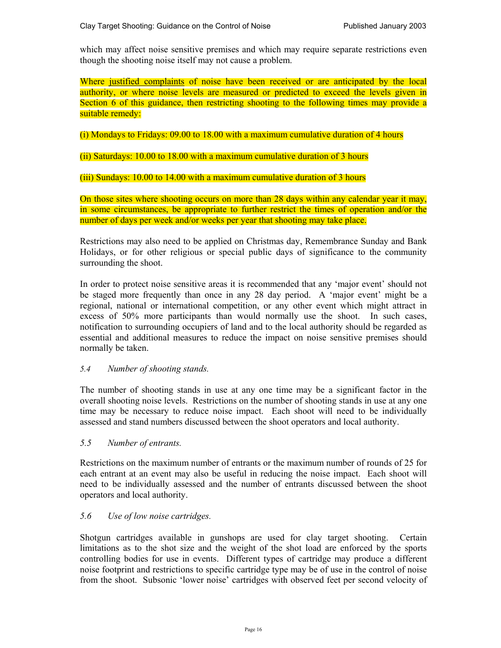which may affect noise sensitive premises and which may require separate restrictions even though the shooting noise itself may not cause a problem.

Where justified complaints of noise have been received or are anticipated by the local authority, or where noise levels are measured or predicted to exceed the levels given in Section 6 of this guidance, then restricting shooting to the following times may provide a suitable remedy:

(i) Mondays to Fridays: 09.00 to 18.00 with a maximum cumulative duration of 4 hours

(ii) Saturdays: 10.00 to 18.00 with a maximum cumulative duration of 3 hours

(iii) Sundays: 10.00 to 14.00 with a maximum cumulative duration of 3 hours

 On those sites where shooting occurs on more than 28 days within any calendar year it may, in some circumstances, be appropriate to further restrict the times of operation and/or the number of days per week and/or weeks per year that shooting may take place.

Restrictions may also need to be applied on Christmas day, Remembrance Sunday and Bank Holidays, or for other religious or special public days of significance to the community surrounding the shoot.

In order to protect noise sensitive areas it is recommended that any 'major event' should not be staged more frequently than once in any 28 day period. A 'major event' might be a regional, national or international competition, or any other event which might attract in excess of 50% more participants than would normally use the shoot. In such cases, notification to surrounding occupiers of land and to the local authority should be regarded as essential and additional measures to reduce the impact on noise sensitive premises should normally be taken.

## *5.4 Number of shooting stands.*

The number of shooting stands in use at any one time may be a significant factor in the overall shooting noise levels. Restrictions on the number of shooting stands in use at any one time may be necessary to reduce noise impact. Each shoot will need to be individually assessed and stand numbers discussed between the shoot operators and local authority.

*5.5 Number of entrants.* 

Restrictions on the maximum number of entrants or the maximum number of rounds of 25 for each entrant at an event may also be useful in reducing the noise impact. Each shoot will need to be individually assessed and the number of entrants discussed between the shoot operators and local authority.

## *5.6 Use of low noise cartridges.*

Shotgun cartridges available in gunshops are used for clay target shooting. Certain limitations as to the shot size and the weight of the shot load are enforced by the sports controlling bodies for use in events. Different types of cartridge may produce a different noise footprint and restrictions to specific cartridge type may be of use in the control of noise from the shoot. Subsonic 'lower noise' cartridges with observed feet per second velocity of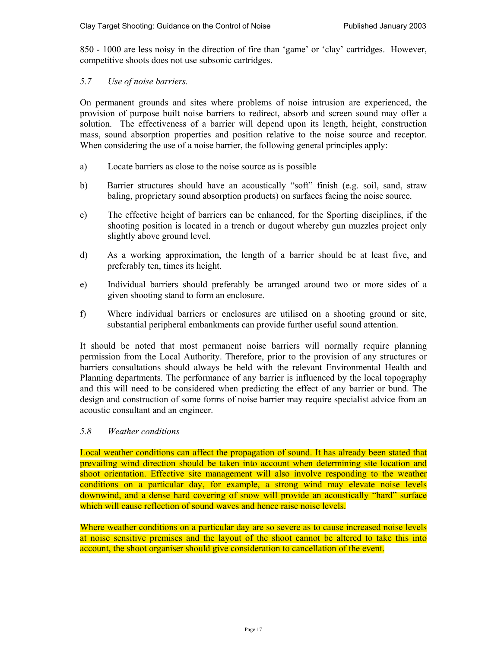850 - 1000 are less noisy in the direction of fire than 'game' or 'clay' cartridges. However, competitive shoots does not use subsonic cartridges.

## *5.7 Use of noise barriers.*

On permanent grounds and sites where problems of noise intrusion are experienced, the provision of purpose built noise barriers to redirect, absorb and screen sound may offer a solution. The effectiveness of a barrier will depend upon its length, height, construction mass, sound absorption properties and position relative to the noise source and receptor. When considering the use of a noise barrier, the following general principles apply:

- a) Locate barriers as close to the noise source as is possible
- b) Barrier structures should have an acoustically "soft" finish (e.g. soil, sand, straw baling, proprietary sound absorption products) on surfaces facing the noise source.
- c) The effective height of barriers can be enhanced, for the Sporting disciplines, if the shooting position is located in a trench or dugout whereby gun muzzles project only slightly above ground level.
- d) As a working approximation, the length of a barrier should be at least five, and preferably ten, times its height.
- e) Individual barriers should preferably be arranged around two or more sides of a given shooting stand to form an enclosure.
- f) Where individual barriers or enclosures are utilised on a shooting ground or site, substantial peripheral embankments can provide further useful sound attention.

It should be noted that most permanent noise barriers will normally require planning permission from the Local Authority. Therefore, prior to the provision of any structures or barriers consultations should always be held with the relevant Environmental Health and Planning departments. The performance of any barrier is influenced by the local topography and this will need to be considered when predicting the effect of any barrier or bund. The design and construction of some forms of noise barrier may require specialist advice from an acoustic consultant and an engineer.

## *5.8 Weather conditions*

Local weather conditions can affect the propagation of sound. It has already been stated that prevailing wind direction should be taken into account when determining site location and shoot orientation. Effective site management will also involve responding to the weather conditions on a particular day, for example, a strong wind may elevate noise levels downwind, and a dense hard covering of snow will provide an acoustically "hard" surface which will cause reflection of sound waves and hence raise noise levels.

Where weather conditions on a particular day are so severe as to cause increased noise levels at noise sensitive premises and the layout of the shoot cannot be altered to take this into account, the shoot organiser should give consideration to cancellation of the event.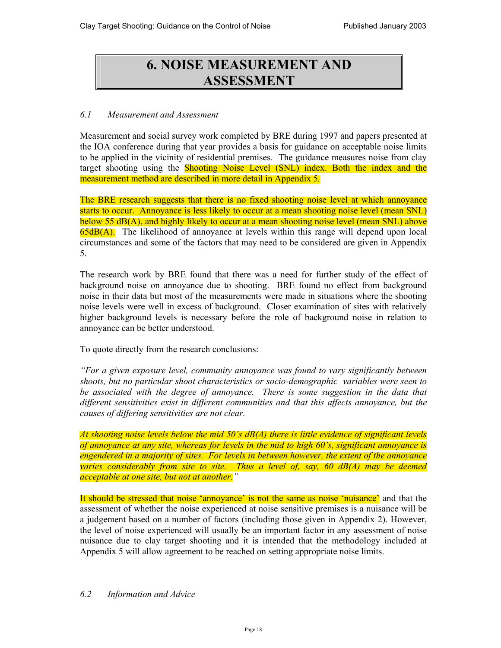# **6. NOISE MEASUREMENT AND ASSESSMENT**

## *6.1 Measurement and Assessment*

Measurement and social survey work completed by BRE during 1997 and papers presented at the IOA conference during that year provides a basis for guidance on acceptable noise limits to be applied in the vicinity of residential premises. The guidance measures noise from clay target shooting using the Shooting Noise Level (SNL) index. Both the index and the measurement method are described in more detail in Appendix 5*.*

The BRE research suggests that there is no fixed shooting noise level at which annoyance starts to occur. Annoyance is less likely to occur at a mean shooting noise level (mean SNL) below 55 dB(A), and highly likely to occur at a mean shooting noise level (mean SNL) above 65dB(A). The likelihood of annoyance at levels within this range will depend upon local circumstances and some of the factors that may need to be considered are given in Appendix 5.

The research work by BRE found that there was a need for further study of the effect of background noise on annoyance due to shooting. BRE found no effect from background noise in their data but most of the measurements were made in situations where the shooting noise levels were well in excess of background. Closer examination of sites with relatively higher background levels is necessary before the role of background noise in relation to annoyance can be better understood.

To quote directly from the research conclusions:

*"For a given exposure level, community annoyance was found to vary significantly between shoots, but no particular shoot characteristics or socio-demographic variables were seen to be associated with the degree of annoyance. There is some suggestion in the data that different sensitivities exist in different communities and that this affects annoyance, but the causes of differing sensitivities are not clear.* 

*At shooting noise levels below the mid 50's dB(A) there is little evidence of significant levels of annoyance at any site, whereas for levels in the mid to high 60's, significant annoyance is engendered in a majority of sites. For levels in between however, the extent of the annoyance varies considerably from site to site. Thus a level of, say, 60 dB(A) may be deemed acceptable at one site, but not at another."*

It should be stressed that noise 'annoyance' is not the same as noise 'nuisance' and that the assessment of whether the noise experienced at noise sensitive premises is a nuisance will be a judgement based on a number of factors (including those given in Appendix 2). However, the level of noise experienced will usually be an important factor in any assessment of noise nuisance due to clay target shooting and it is intended that the methodology included at Appendix 5 will allow agreement to be reached on setting appropriate noise limits.

## *6.2 Information and Advice*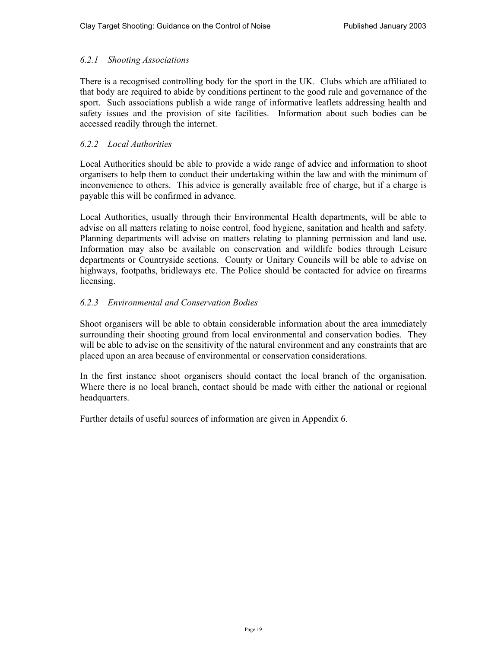## *6.2.1 Shooting Associations*

There is a recognised controlling body for the sport in the UK. Clubs which are affiliated to that body are required to abide by conditions pertinent to the good rule and governance of the sport. Such associations publish a wide range of informative leaflets addressing health and safety issues and the provision of site facilities. Information about such bodies can be accessed readily through the internet.

## *6.2.2 Local Authorities*

Local Authorities should be able to provide a wide range of advice and information to shoot organisers to help them to conduct their undertaking within the law and with the minimum of inconvenience to others. This advice is generally available free of charge, but if a charge is payable this will be confirmed in advance.

Local Authorities, usually through their Environmental Health departments, will be able to advise on all matters relating to noise control, food hygiene, sanitation and health and safety. Planning departments will advise on matters relating to planning permission and land use. Information may also be available on conservation and wildlife bodies through Leisure departments or Countryside sections. County or Unitary Councils will be able to advise on highways, footpaths, bridleways etc. The Police should be contacted for advice on firearms licensing.

## *6.2.3 Environmental and Conservation Bodies*

Shoot organisers will be able to obtain considerable information about the area immediately surrounding their shooting ground from local environmental and conservation bodies. They will be able to advise on the sensitivity of the natural environment and any constraints that are placed upon an area because of environmental or conservation considerations.

In the first instance shoot organisers should contact the local branch of the organisation. Where there is no local branch, contact should be made with either the national or regional headquarters.

Further details of useful sources of information are given in Appendix 6.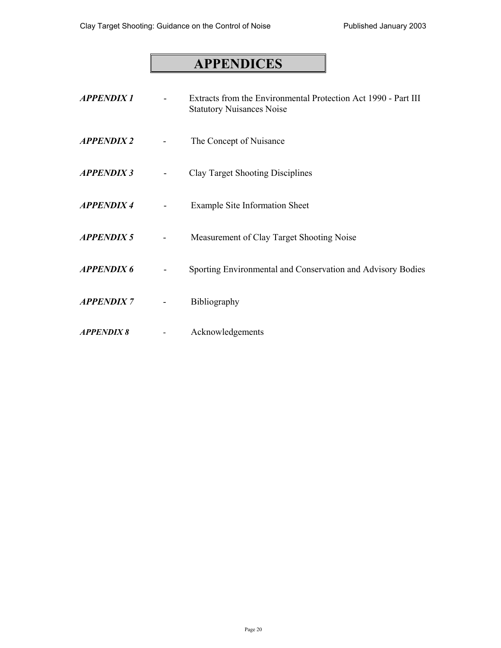# **APPENDICES**

| <b>APPENDIX1</b>  | Extracts from the Environmental Protection Act 1990 - Part III<br><b>Statutory Nuisances Noise</b> |
|-------------------|----------------------------------------------------------------------------------------------------|
| <b>APPENDIX 2</b> | The Concept of Nuisance                                                                            |
| <b>APPENDIX 3</b> | <b>Clay Target Shooting Disciplines</b>                                                            |
| <b>APPENDIX4</b>  | <b>Example Site Information Sheet</b>                                                              |
| <b>APPENDIX 5</b> | Measurement of Clay Target Shooting Noise                                                          |
| <b>APPENDIX 6</b> | Sporting Environmental and Conservation and Advisory Bodies                                        |
| <b>APPENDIX7</b>  | Bibliography                                                                                       |
| <b>APPENDIX 8</b> | Acknowledgements                                                                                   |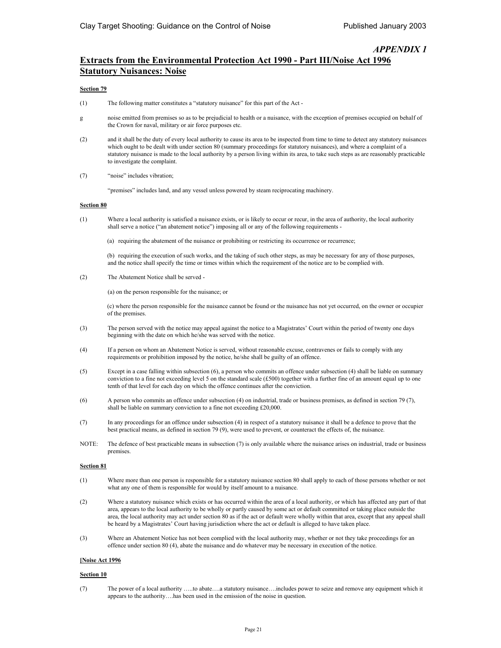## **Extracts from the Environmental Protection Act 1990 - Part III/Noise Act 1996 Statutory Nuisances: Noise**

#### **Section 79**

- (1) The following matter constitutes a "statutory nuisance" for this part of the Act -
- g noise emitted from premises so as to be prejudicial to health or a nuisance, with the exception of premises occupied on behalf of the Crown for naval, military or air force purposes etc.
- (2) and it shall be the duty of every local authority to cause its area to be inspected from time to time to detect any statutory nuisances which ought to be dealt with under section 80 (summary proceedings for statutory nuisances), and where a complaint of a statutory nuisance is made to the local authority by a person living within its area, to take such steps as are reasonably practicable to investigate the complaint.
- (7) "noise" includes vibration;

"premises" includes land, and any vessel unless powered by steam reciprocating machinery.

#### **Section 80**

- (1) Where a local authority is satisfied a nuisance exists, or is likely to occur or recur, in the area of authority, the local authority shall serve a notice ("an abatement notice") imposing all or any of the following requirements -
	- (a) requiring the abatement of the nuisance or prohibiting or restricting its occurrence or recurrence;

(b) requiring the execution of such works, and the taking of such other steps, as may be necessary for any of those purposes, and the notice shall specify the time or times within which the requirement of the notice are to be complied with.

(2) The Abatement Notice shall be served -

(a) on the person responsible for the nuisance; or

(c) where the person responsible for the nuisance cannot be found or the nuisance has not yet occurred, on the owner or occupier of the premises.

- (3) The person served with the notice may appeal against the notice to a Magistrates' Court within the period of twenty one days beginning with the date on which he/she was served with the notice.
- (4) If a person on whom an Abatement Notice is served, without reasonable excuse, contravenes or fails to comply with any requirements or prohibition imposed by the notice, he/she shall be guilty of an offence.
- (5) Except in a case falling within subsection (6), a person who commits an offence under subsection (4) shall be liable on summary conviction to a fine not exceeding level 5 on the standard scale (£500) together with a further fine of an amount equal up to one tenth of that level for each day on which the offence continues after the conviction.
- (6) A person who commits an offence under subsection (4) on industrial, trade or business premises, as defined in section 79 (7), shall be liable on summary conviction to a fine not exceeding £20,000.
- (7) In any proceedings for an offence under subsection (4) in respect of a statutory nuisance it shall be a defence to prove that the best practical means, as defined in section 79 (9), were used to prevent, or counteract the effects of, the nuisance.
- NOTE: The defence of best practicable means in subsection (7) is only available where the nuisance arises on industrial, trade or business premises.

#### **Section 81**

- (1) Where more than one person is responsible for a statutory nuisance section 80 shall apply to each of those persons whether or not what any one of them is responsible for would by itself amount to a nuisance.
- (2) Where a statutory nuisance which exists or has occurred within the area of a local authority, or which has affected any part of that area, appears to the local authority to be wholly or partly caused by some act or default committed or taking place outside the area, the local authority may act under section 80 as if the act or default were wholly within that area, except that any appeal shall be heard by a Magistrates' Court having jurisdiction where the act or default is alleged to have taken place.
- (3) Where an Abatement Notice has not been complied with the local authority may, whether or not they take proceedings for an offence under section 80 (4), abate the nuisance and do whatever may be necessary in execution of the notice.

#### **[Noise Act 1996**

#### **Section 10**

(7) The power of a local authority …..to abate….a statutory nuisance….includes power to seize and remove any equipment which it appears to the authority….has been used in the emission of the noise in question.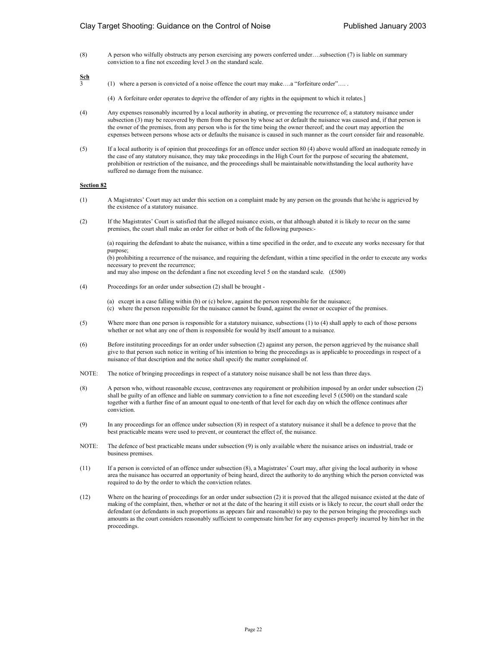(8) A person who wilfully obstructs any person exercising any powers conferred under….subsection (7) is liable on summary conviction to a fine not exceeding level 3 on the standard scale.

 $rac{\text{Sch}}{3}$ 

- (1) where a person is convicted of a noise offence the court may make....a "forfeiture order".....
	- (4) A forfeiture order operates to deprive the offender of any rights in the equipment to which it relates.]
- (4) Any expenses reasonably incurred by a local authority in abating, or preventing the recurrence of; a statutory nuisance under subsection (3) may be recovered by them from the person by whose act or default the nuisance was caused and, if that person is the owner of the premises, from any person who is for the time being the owner thereof; and the court may apportion the expenses between persons whose acts or defaults the nuisance is caused in such manner as the court consider fair and reasonable.
- (5) If a local authority is of opinion that proceedings for an offence under section 80 (4) above would afford an inadequate remedy in the case of any statutory nuisance, they may take proceedings in the High Court for the purpose of securing the abatement, prohibition or restriction of the nuisance, and the proceedings shall be maintainable notwithstanding the local authority have suffered no damage from the nuisance.

#### **Section 82**

- (1) A Magistrates' Court may act under this section on a complaint made by any person on the grounds that he/she is aggrieved by the existence of a statutory nuisance.
- (2) If the Magistrates' Court is satisfied that the alleged nuisance exists, or that although abated it is likely to recur on the same premises, the court shall make an order for either or both of the following purposes:-

(a) requiring the defendant to abate the nuisance, within a time specified in the order, and to execute any works necessary for that purpose;

(b) prohibiting a recurrence of the nuisance, and requiring the defendant, within a time specified in the order to execute any works necessary to prevent the recurrence;

and may also impose on the defendant a fine not exceeding level 5 on the standard scale. (£500)

- (4) Proceedings for an order under subsection (2) shall be brought
	- (a) except in a case falling within (b) or (c) below, against the person responsible for the nuisance;
	- (c) where the person responsible for the nuisance cannot be found, against the owner or occupier of the premises.
- (5) Where more than one person is responsible for a statutory nuisance, subsections (1) to (4) shall apply to each of those persons whether or not what any one of them is responsible for would by itself amount to a nuisance.
- (6) Before instituting proceedings for an order under subsection (2) against any person, the person aggrieved by the nuisance shall give to that person such notice in writing of his intention to bring the proceedings as is applicable to proceedings in respect of a nuisance of that description and the notice shall specify the matter complained of.
- NOTE: The notice of bringing proceedings in respect of a statutory noise nuisance shall be not less than three days.
- (8) A person who, without reasonable excuse, contravenes any requirement or prohibition imposed by an order under subsection (2) shall be guilty of an offence and liable on summary conviction to a fine not exceeding level 5 (£500) on the standard scale together with a further fine of an amount equal to one-tenth of that level for each day on which the offence continues after conviction.
- (9) In any proceedings for an offence under subsection (8) in respect of a statutory nuisance it shall be a defence to prove that the best practicable means were used to prevent, or counteract the effect of, the nuisance.
- NOTE: The defence of best practicable means under subsection (9) is only available where the nuisance arises on industrial, trade or business premises.
- (11) If a person is convicted of an offence under subsection (8), a Magistrates' Court may, after giving the local authority in whose area the nuisance has occurred an opportunity of being heard, direct the authority to do anything which the person convicted was required to do by the order to which the conviction relates.
- (12) Where on the hearing of proceedings for an order under subsection (2) it is proved that the alleged nuisance existed at the date of making of the complaint, then, whether or not at the date of the hearing it still exists or is likely to recur, the court shall order the defendant (or defendants in such proportions as appears fair and reasonable) to pay to the person bringing the proceedings such amounts as the court considers reasonably sufficient to compensate him/her for any expenses properly incurred by him/her in the proceedings.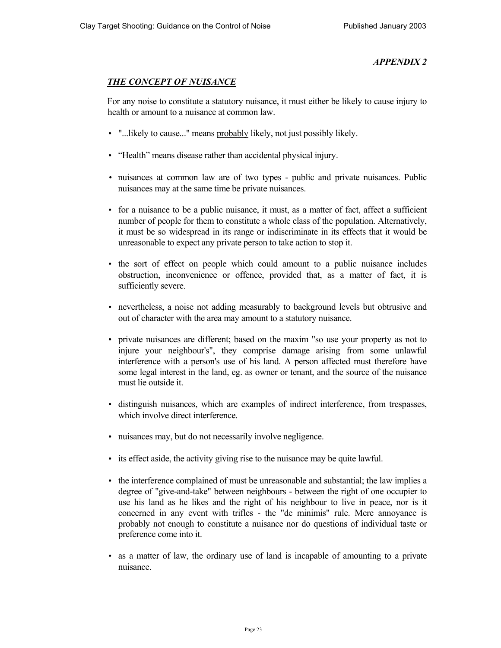## *THE CONCEPT OF NUISANCE*

For any noise to constitute a statutory nuisance, it must either be likely to cause injury to health or amount to a nuisance at common law.

- "...likely to cause..." means probably likely, not just possibly likely.
- "Health" means disease rather than accidental physical injury.
- nuisances at common law are of two types public and private nuisances. Public nuisances may at the same time be private nuisances.
- for a nuisance to be a public nuisance, it must, as a matter of fact, affect a sufficient number of people for them to constitute a whole class of the population. Alternatively, it must be so widespread in its range or indiscriminate in its effects that it would be unreasonable to expect any private person to take action to stop it.
- the sort of effect on people which could amount to a public nuisance includes obstruction, inconvenience or offence, provided that, as a matter of fact, it is sufficiently severe.
- nevertheless, a noise not adding measurably to background levels but obtrusive and out of character with the area may amount to a statutory nuisance.
- private nuisances are different; based on the maxim "so use your property as not to injure your neighbour's", they comprise damage arising from some unlawful interference with a person's use of his land. A person affected must therefore have some legal interest in the land, eg. as owner or tenant, and the source of the nuisance must lie outside it.
- distinguish nuisances, which are examples of indirect interference, from trespasses, which involve direct interference.
- nuisances may, but do not necessarily involve negligence.
- its effect aside, the activity giving rise to the nuisance may be quite lawful.
- the interference complained of must be unreasonable and substantial; the law implies a degree of "give-and-take" between neighbours - between the right of one occupier to use his land as he likes and the right of his neighbour to live in peace, nor is it concerned in any event with trifles - the "de minimis" rule. Mere annoyance is probably not enough to constitute a nuisance nor do questions of individual taste or preference come into it.
- as a matter of law, the ordinary use of land is incapable of amounting to a private nuisance.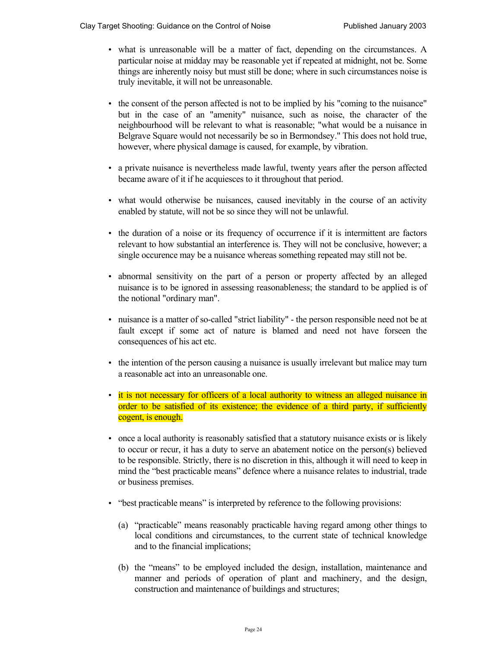- what is unreasonable will be a matter of fact, depending on the circumstances. A particular noise at midday may be reasonable yet if repeated at midnight, not be. Some things are inherently noisy but must still be done; where in such circumstances noise is truly inevitable, it will not be unreasonable.
- the consent of the person affected is not to be implied by his "coming to the nuisance" but in the case of an "amenity" nuisance, such as noise, the character of the neighbourhood will be relevant to what is reasonable; "what would be a nuisance in Belgrave Square would not necessarily be so in Bermondsey." This does not hold true, however, where physical damage is caused, for example, by vibration.
- a private nuisance is nevertheless made lawful, twenty years after the person affected became aware of it if he acquiesces to it throughout that period.
- what would otherwise be nuisances, caused inevitably in the course of an activity enabled by statute, will not be so since they will not be unlawful.
- the duration of a noise or its frequency of occurrence if it is intermittent are factors relevant to how substantial an interference is. They will not be conclusive, however; a single occurence may be a nuisance whereas something repeated may still not be.
- abnormal sensitivity on the part of a person or property affected by an alleged nuisance is to be ignored in assessing reasonableness; the standard to be applied is of the notional "ordinary man".
- nuisance is a matter of so-called "strict liability" the person responsible need not be at fault except if some act of nature is blamed and need not have forseen the consequences of his act etc.
- the intention of the person causing a nuisance is usually irrelevant but malice may turn a reasonable act into an unreasonable one.
- it is not necessary for officers of a local authority to witness an alleged nuisance in order to be satisfied of its existence; the evidence of a third party, if sufficiently cogent, is enough.
- once a local authority is reasonably satisfied that a statutory nuisance exists or is likely to occur or recur, it has a duty to serve an abatement notice on the person(s) believed to be responsible. Strictly, there is no discretion in this, although it will need to keep in mind the "best practicable means" defence where a nuisance relates to industrial, trade or business premises.
- "best practicable means" is interpreted by reference to the following provisions:
	- (a) "practicable" means reasonably practicable having regard among other things to local conditions and circumstances, to the current state of technical knowledge and to the financial implications;
	- (b) the "means" to be employed included the design, installation, maintenance and manner and periods of operation of plant and machinery, and the design, construction and maintenance of buildings and structures;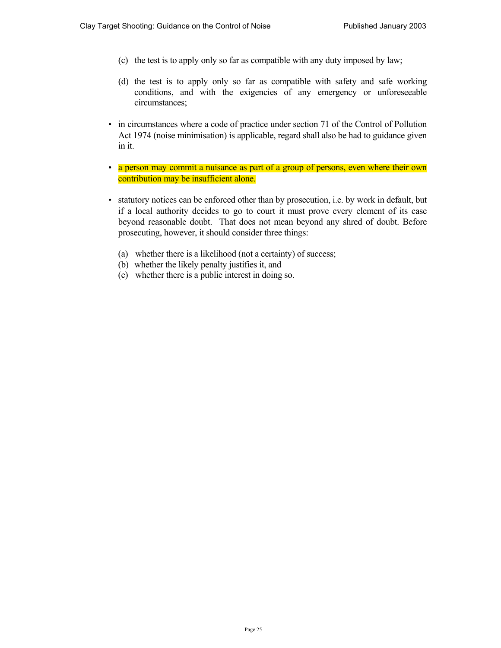- (c) the test is to apply only so far as compatible with any duty imposed by law;
- (d) the test is to apply only so far as compatible with safety and safe working conditions, and with the exigencies of any emergency or unforeseeable circumstances;
- in circumstances where a code of practice under section 71 of the Control of Pollution Act 1974 (noise minimisation) is applicable, regard shall also be had to guidance given in it.
- a person may commit a nuisance as part of a group of persons, even where their own contribution may be insufficient alone.
- statutory notices can be enforced other than by prosecution, i.e. by work in default, but if a local authority decides to go to court it must prove every element of its case beyond reasonable doubt. That does not mean beyond any shred of doubt. Before prosecuting, however, it should consider three things:
	- (a) whether there is a likelihood (not a certainty) of success;
	- (b) whether the likely penalty justifies it, and
	- (c) whether there is a public interest in doing so.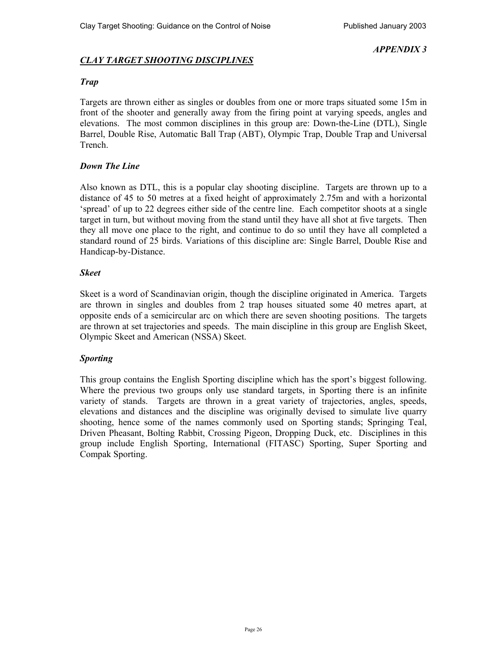## *CLAY TARGET SHOOTING DISCIPLINES*

## *Trap*

Targets are thrown either as singles or doubles from one or more traps situated some 15m in front of the shooter and generally away from the firing point at varying speeds, angles and elevations. The most common disciplines in this group are: Down-the-Line (DTL), Single Barrel, Double Rise, Automatic Ball Trap (ABT), Olympic Trap, Double Trap and Universal Trench.

## *Down The Line*

Also known as DTL, this is a popular clay shooting discipline. Targets are thrown up to a distance of 45 to 50 metres at a fixed height of approximately 2.75m and with a horizontal 'spread' of up to 22 degrees either side of the centre line. Each competitor shoots at a single target in turn, but without moving from the stand until they have all shot at five targets. Then they all move one place to the right, and continue to do so until they have all completed a standard round of 25 birds. Variations of this discipline are: Single Barrel, Double Rise and Handicap-by-Distance.

## *Skeet*

Skeet is a word of Scandinavian origin, though the discipline originated in America. Targets are thrown in singles and doubles from 2 trap houses situated some 40 metres apart, at opposite ends of a semicircular arc on which there are seven shooting positions. The targets are thrown at set trajectories and speeds. The main discipline in this group are English Skeet, Olympic Skeet and American (NSSA) Skeet.

## *Sporting*

This group contains the English Sporting discipline which has the sport's biggest following. Where the previous two groups only use standard targets, in Sporting there is an infinite variety of stands. Targets are thrown in a great variety of trajectories, angles, speeds, elevations and distances and the discipline was originally devised to simulate live quarry shooting, hence some of the names commonly used on Sporting stands; Springing Teal, Driven Pheasant, Bolting Rabbit, Crossing Pigeon, Dropping Duck, etc. Disciplines in this group include English Sporting, International (FITASC) Sporting, Super Sporting and Compak Sporting.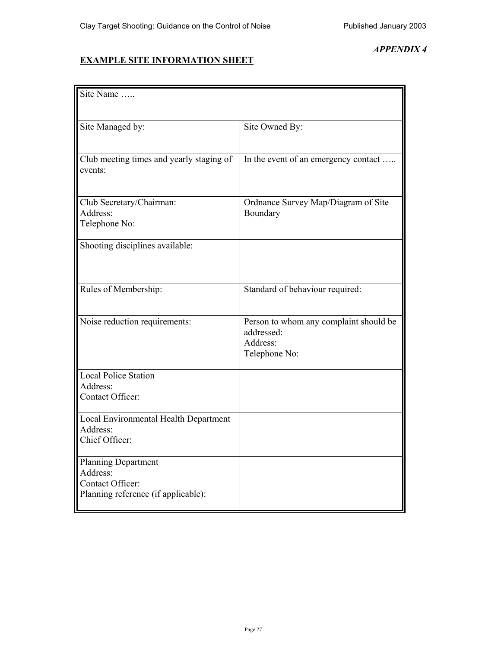## **EXAMPLE SITE INFORMATION SHEET**

| Site Name                                           |                                                      |
|-----------------------------------------------------|------------------------------------------------------|
|                                                     |                                                      |
| Site Managed by:                                    | Site Owned By:                                       |
|                                                     |                                                      |
| Club meeting times and yearly staging of<br>events: | In the event of an emergency contact                 |
|                                                     |                                                      |
| Club Secretary/Chairman:<br>Address:                | Ordnance Survey Map/Diagram of Site<br>Boundary      |
| Telephone No:                                       |                                                      |
| Shooting disciplines available:                     |                                                      |
|                                                     |                                                      |
| Rules of Membership:                                | Standard of behaviour required:                      |
| Noise reduction requirements:                       | Person to whom any complaint should be<br>addressed: |
|                                                     | Address:<br>Telephone No:                            |
|                                                     |                                                      |
| Local Police Station<br>Address:                    |                                                      |
| Contact Officer:                                    |                                                      |
| Local Environmental Health Department<br>Address:   |                                                      |
| Chief Officer:                                      |                                                      |
| <b>Planning Department</b>                          |                                                      |
| Address:<br>Contact Officer:                        |                                                      |
| Planning reference (if applicable):                 |                                                      |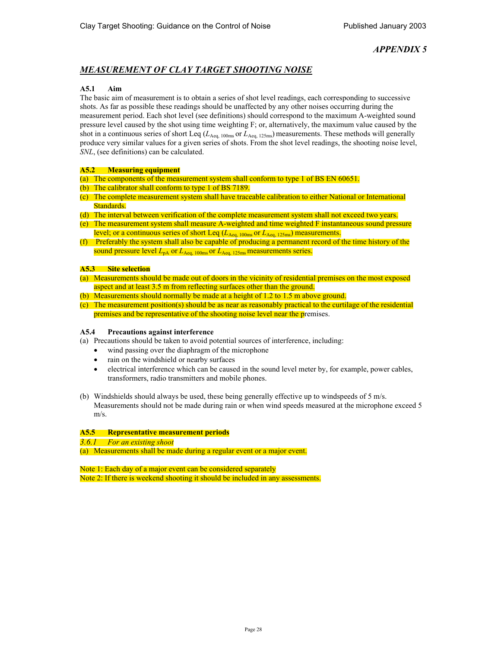## *MEASUREMENT OF CLAY TARGET SHOOTING NOISE*

#### **A5.1 Aim**

The basic aim of measurement is to obtain a series of shot level readings, each corresponding to successive shots. As far as possible these readings should be unaffected by any other noises occurring during the measurement period. Each shot level (see definitions) should correspond to the maximum A-weighted sound pressure level caused by the shot using time weighting F; or, alternatively, the maximum value caused by the shot in a continuous series of short Leq ( $L_{Aeq, 100ms}$  or  $L_{Aeq, 125ms}$ ) measurements. These methods will generally produce very similar values for a given series of shots. From the shot level readings, the shooting noise level, *SNL*, (see definitions) can be calculated.

#### **A5.2 Measuring equipment**

- (a) The components of the measurement system shall conform to type 1 of BS EN 60651.
- (b) The calibrator shall conform to type 1 of BS 7189.
- (c) The complete measurement system shall have traceable calibration to either National or International Standards.
- (d) The interval between verification of the complete measurement system shall not exceed two years.
- (e) The measurement system shall measure A-weighted and time weighted F instantaneous sound pressure level; or a continuous series of short Leq  $(L_{\text{Aea-100ms}})$  or  $L_{\text{Aea-125ms}})$  measurements.
- (f) Preferably the system shall also be capable of producing a permanent record of the time history of the sound pressure level  $L_{\text{pA}}$  or  $L_{\text{Aeq, 100ms}}$  or  $L_{\text{Aeq, 125ms}}$  measurements series.

#### **A5.3 Site selection**

- (a) Measurements should be made out of doors in the vicinity of residential premises on the most exposed aspect and at least 3.5 m from reflecting surfaces other than the ground.
- (b) Measurements should normally be made at a height of 1.2 to 1.5 m above ground.
- (c) The measurement position(s) should be as near as reasonably practical to the curtilage of the residential premises and be representative of the shooting noise level near the premises.

#### **A5.4 Precautions against interference**

- (a) Precautions should be taken to avoid potential sources of interference, including:
	- wind passing over the diaphragm of the microphone
	- rain on the windshield or nearby surfaces
	- electrical interference which can be caused in the sound level meter by, for example, power cables, transformers, radio transmitters and mobile phones.
- (b) Windshields should always be used, these being generally effective up to windspeeds of 5 m/s. Measurements should not be made during rain or when wind speeds measured at the microphone exceed 5 m/s.

### **A5.5 Representative measurement periods**

*3.6.1 For an existing shoot* 

(a) Measurements shall be made during a regular event or a major event.

Note 1: Each day of a major event can be considered separately Note 2: If there is weekend shooting it should be included in any assessments.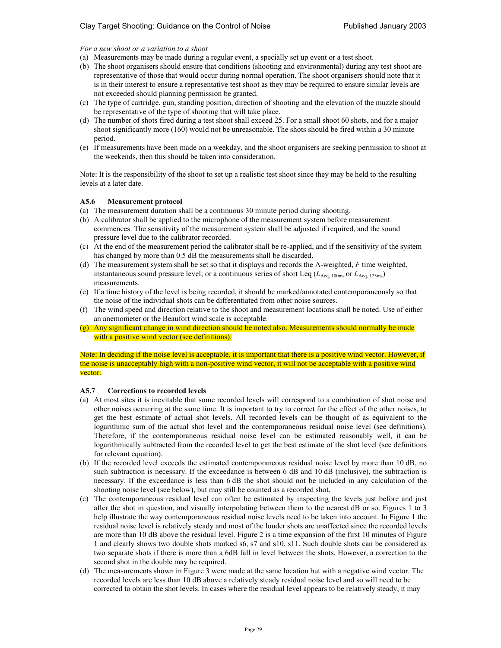*For a new shoot or a variation to a shoot* 

- (a) Measurements may be made during a regular event, a specially set up event or a test shoot.
- (b) The shoot organisers should ensure that conditions (shooting and environmental) during any test shoot are representative of those that would occur during normal operation. The shoot organisers should note that it is in their interest to ensure a representative test shoot as they may be required to ensure similar levels are not exceeded should planning permission be granted.
- (c) The type of cartridge, gun, standing position, direction of shooting and the elevation of the muzzle should be representative of the type of shooting that will take place.
- (d) The number of shots fired during a test shoot shall exceed 25. For a small shoot 60 shots, and for a major shoot significantly more (160) would not be unreasonable. The shots should be fired within a 30 minute period.
- (e) If measurements have been made on a weekday, and the shoot organisers are seeking permission to shoot at the weekends, then this should be taken into consideration.

Note: It is the responsibility of the shoot to set up a realistic test shoot since they may be held to the resulting levels at a later date.

#### **A5.6 Measurement protocol**

- (a) The measurement duration shall be a continuous 30 minute period during shooting.
- (b) A calibrator shall be applied to the microphone of the measurement system before measurement commences. The sensitivity of the measurement system shall be adjusted if required, and the sound pressure level due to the calibrator recorded.
- (c) At the end of the measurement period the calibrator shall be re-applied, and if the sensitivity of the system has changed by more than 0.5 dB the measurements shall be discarded.
- (d) The measurement system shall be set so that it displays and records the A-weighted, *F* time weighted, instantaneous sound pressure level; or a continuous series of short Leq  $(L_{Aeq, 100ms}$  or  $L_{Aeq, 125ms})$ measurements.
- (e) If a time history of the level is being recorded, it should be marked/annotated contemporaneously so that the noise of the individual shots can be differentiated from other noise sources.
- (f) The wind speed and direction relative to the shoot and measurement locations shall be noted. Use of either an anemometer or the Beaufort wind scale is acceptable.
- Any significant change in wind direction should be noted also. Measurements should normally be made with a positive wind vector (see definitions).

Note: In deciding if the noise level is acceptable, it is important that there is a positive wind vector. However, if the noise is unacceptably high with a non-positive wind vector, it will not be acceptable with a positive wind vector.

#### **A5.7 Corrections to recorded levels**

- (a) At most sites it is inevitable that some recorded levels will correspond to a combination of shot noise and other noises occurring at the same time. It is important to try to correct for the effect of the other noises, to get the best estimate of actual shot levels. All recorded levels can be thought of as equivalent to the logarithmic sum of the actual shot level and the contemporaneous residual noise level (see definitions). Therefore, if the contemporaneous residual noise level can be estimated reasonably well, it can be logarithmically subtracted from the recorded level to get the best estimate of the shot level (see definitions for relevant equation).
- (b) If the recorded level exceeds the estimated contemporaneous residual noise level by more than 10 dB, no such subtraction is necessary. If the exceedance is between 6 dB and 10 dB (inclusive), the subtraction is necessary. If the exceedance is less than 6 dB the shot should not be included in any calculation of the shooting noise level (see below), but may still be counted as a recorded shot.
- (c) The contemporaneous residual level can often be estimated by inspecting the levels just before and just after the shot in question, and visually interpolating between them to the nearest dB or so. Figures 1 to 3 help illustrate the way contemporaneous residual noise levels need to be taken into account. In Figure 1 the residual noise level is relatively steady and most of the louder shots are unaffected since the recorded levels are more than 10 dB above the residual level. Figure 2 is a time expansion of the first 10 minutes of Figure 1 and clearly shows two double shots marked s6, s7 and s10, s11. Such double shots can be considered as two separate shots if there is more than a 6dB fall in level between the shots. However, a correction to the second shot in the double may be required.
- (d) The measurements shown in Figure 3 were made at the same location but with a negative wind vector. The recorded levels are less than 10 dB above a relatively steady residual noise level and so will need to be corrected to obtain the shot levels. In cases where the residual level appears to be relatively steady, it may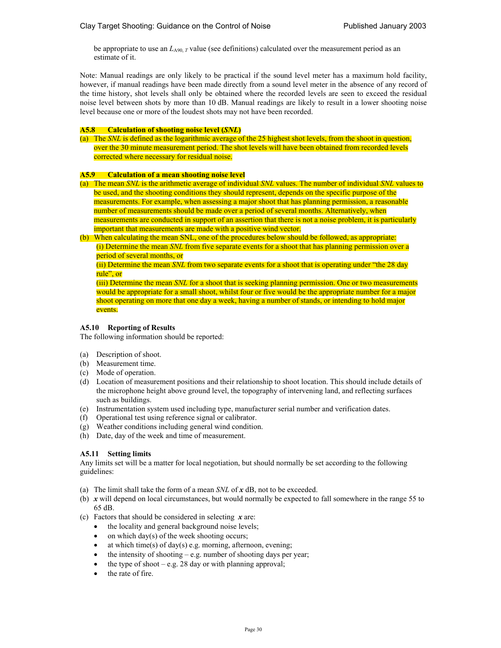be appropriate to use an  $L_{A90,T}$  value (see definitions) calculated over the measurement period as an estimate of it.

Note: Manual readings are only likely to be practical if the sound level meter has a maximum hold facility, however, if manual readings have been made directly from a sound level meter in the absence of any record of the time history, shot levels shall only be obtained where the recorded levels are seen to exceed the residual noise level between shots by more than 10 dB. Manual readings are likely to result in a lower shooting noise level because one or more of the loudest shots may not have been recorded.

#### **A5.8 Calculation of shooting noise level (***SNL***)**

(a) The *SNL* is defined as the logarithmic average of the 25 highest shot levels, from the shoot in question, over the 30 minute measurement period. The shot levels will have been obtained from recorded levels corrected where necessary for residual noise.

#### **A5.9 Calculation of a mean shooting noise level**

- (a) The mean *SNL* is the arithmetic average of individual *SNL* values. The number of individual *SNL* values to be used, and the shooting conditions they should represent, depends on the specific purpose of the measurements. For example, when assessing a major shoot that has planning permission, a reasonable number of measurements should be made over a period of several months. Alternatively, when measurements are conducted in support of an assertion that there is not a noise problem, it is particularly important that measurements are made with a positive wind vector.
- (b) When calculating the mean SNL, one of the procedures below should be followed, as appropriate: (i) Determine the mean *SNL* from five separate events for a shoot that has planning permission over a period of several months, or

(ii) Determine the mean *SNL* from two separate events for a shoot that is operating under "the 28 day rule", or

(iii) Determine the mean *SNL* for a shoot that is seeking planning permission. One or two measurements would be appropriate for a small shoot, whilst four or five would be the appropriate number for a major shoot operating on more that one day a week, having a number of stands, or intending to hold major events.

#### **A5.10 Reporting of Results**

The following information should be reported:

- (a) Description of shoot.
- (b) Measurement time.
- (c) Mode of operation.
- (d) Location of measurement positions and their relationship to shoot location. This should include details of the microphone height above ground level, the topography of intervening land, and reflecting surfaces such as buildings.
- (e) Instrumentation system used including type, manufacturer serial number and verification dates.
- (f) Operational test using reference signal or calibrator.
- (g) Weather conditions including general wind condition.
- (h) Date, day of the week and time of measurement.

#### **A5.11 Setting limits**

Any limits set will be a matter for local negotiation, but should normally be set according to the following guidelines:

- (a) The limit shall take the form of a mean *SNL* of *x* dB, not to be exceeded.
- (b) *x* will depend on local circumstances, but would normally be expected to fall somewhere in the range 55 to 65 dB.
- (c) Factors that should be considered in selecting *x* are:
	- the locality and general background noise levels;
	- on which day $(s)$  of the week shooting occurs;
	- at which time(s) of day(s) e.g. morning, afternoon, evening;
	- the intensity of shooting  $-e.g.$  number of shooting days per year;
	- the type of shoot  $-e.g. 28$  day or with planning approval;
	- the rate of fire.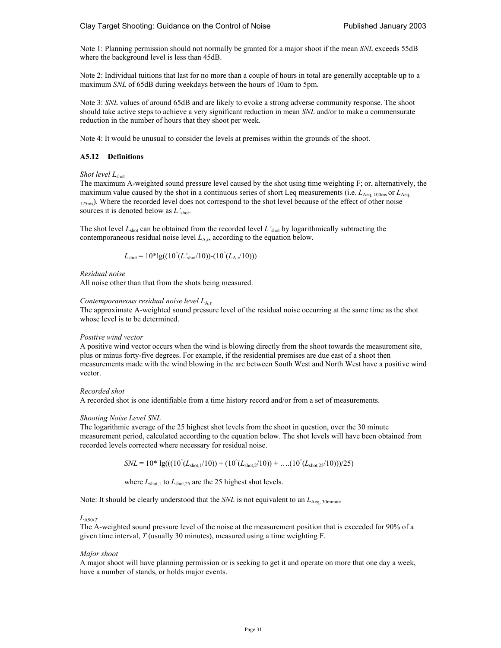Note 1: Planning permission should not normally be granted for a major shoot if the mean *SNL* exceeds 55dB where the background level is less than 45dB.

Note 2: Individual tuitions that last for no more than a couple of hours in total are generally acceptable up to a maximum *SNL* of 65dB during weekdays between the hours of 10am to 5pm.

Note 3: *SNL* values of around 65dB and are likely to evoke a strong adverse community response. The shoot should take active steps to achieve a very significant reduction in mean *SNL* and/or to make a commensurate reduction in the number of hours that they shoot per week.

Note 4: It would be unusual to consider the levels at premises within the grounds of the shoot.

#### **A5.12 Definitions**

#### *Shot level L*shot

The maximum A-weighted sound pressure level caused by the shot using time weighting F; or, alternatively, the maximum value caused by the shot in a continuous series of short Leq measurements (i.e.  $L_{\text{Aeq, 100ms}}$  or  $L_{\text{Aeq}}$ 125ms). Where the recorded level does not correspond to the shot level because of the effect of other noise sources it is denoted below as *L'*shot.

The shot level  $L_{\text{shot}}$  can be obtained from the recorded level  $L'_{\text{shot}}$  by logarithmically subtracting the contemporaneous residual noise level  $L_{A,r}$ , according to the equation below.

$$
L_{\rm shot}=10^*lg((10^{\hat{}}(L_{\rm shot}/10))-(10^{\hat{}}(L_{\rm A,r}/10)))
$$

*Residual noise* 

All noise other than that from the shots being measured.

#### *Contemporaneous residual noise level L*A*,*<sup>r</sup>

The approximate A-weighted sound pressure level of the residual noise occurring at the same time as the shot whose level is to be determined.

#### *Positive wind vector*

A positive wind vector occurs when the wind is blowing directly from the shoot towards the measurement site, plus or minus forty-five degrees. For example, if the residential premises are due east of a shoot then measurements made with the wind blowing in the arc between South West and North West have a positive wind vector.

*Recorded shot* 

A recorded shot is one identifiable from a time history record and/or from a set of measurements.

#### *Shooting Noise Level SNL*

The logarithmic average of the 25 highest shot levels from the shoot in question, over the 30 minute measurement period, calculated according to the equation below. The shot levels will have been obtained from recorded levels corrected where necessary for residual noise.

 $SNL = 10^*$  lg(((10<sup>^</sup>(*L*<sub>shot,1</sub>/10)) + (10<sup>^</sup>(*L*<sub>shot,2</sub>/10)) + ….(10<sup>^</sup>(*L*<sub>shot,25</sub>/10)))/25)

where  $L_{\text{shot},1}$  to  $L_{\text{shot},25}$  are the 25 highest shot levels.

Note: It should be clearly understood that the *SNL* is not equivalent to an  $L_{Aeq, 30$ minute

#### *L*A90*,T*

The A-weighted sound pressure level of the noise at the measurement position that is exceeded for 90% of a given time interval, *T* (usually 30 minutes), measured using a time weighting F.

#### *Major shoot*

A major shoot will have planning permission or is seeking to get it and operate on more that one day a week, have a number of stands, or holds major events.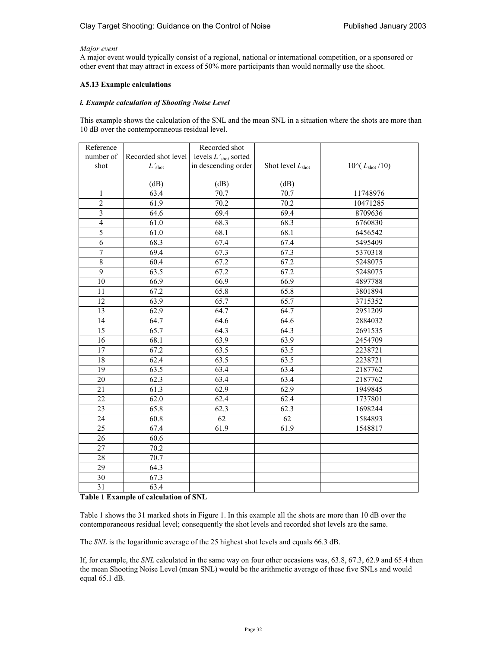#### *Major event*

A major event would typically consist of a regional, national or international competition, or a sponsored or other event that may attract in excess of 50% more participants than would normally use the shoot.

#### **A5.13 Example calculations**

#### *i. Example calculation of Shooting Noise Level*

This example shows the calculation of the SNL and the mean SNL in a situation where the shots are more than 10 dB over the contemporaneous residual level.

| Reference       |                     | Recorded shot                          |                              |                               |
|-----------------|---------------------|----------------------------------------|------------------------------|-------------------------------|
| number of       | Recorded shot level | levels $L^\prime_\mathrm{shot}$ sorted |                              |                               |
| shot            | $L'$ shot           | in descending order                    | Shot level $L_{\text{shot}}$ | $10^{4} (L_{\text{shot}}/10)$ |
|                 |                     |                                        |                              |                               |
|                 | (dB)                | (dB)                                   | (dB)                         |                               |
| $\mathbf{1}$    | 63.4                | 70.7                                   | 70.7                         | 11748976                      |
| $\overline{c}$  | 61.9                | 70.2                                   | 70.2                         | 10471285                      |
| $\overline{3}$  | 64.6                | 69.4                                   | 69.4                         | 8709636                       |
| $\overline{4}$  | 61.0                | 68.3                                   | 68.3                         | 6760830                       |
| 5               | 61.0                | 68.1                                   | 68.1                         | 6456542                       |
| 6               | 68.3                | 67.4                                   | 67.4                         | 5495409                       |
| 7               | 69.4                | 67.3                                   | 67.3                         | 5370318                       |
| 8               | 60.4                | 67.2                                   | 67.2                         | 5248075                       |
| $\overline{9}$  | 63.5                | 67.2                                   | 67.2                         | 5248075                       |
| 10              | 66.9                | 66.9                                   | 66.9                         | 4897788                       |
| 11              | 67.2                | 65.8                                   | 65.8                         | 3801894                       |
| 12              | 63.9                | 65.7                                   | 65.7                         | 3715352                       |
| 13              | 62.9                | 64.7                                   | 64.7                         | 2951209                       |
| 14              | 64.7                | 64.6                                   | 64.6                         | 2884032                       |
| 15              | 65.7                | 64.3                                   | 64.3                         | 2691535                       |
| 16              | 68.1                | 63.9                                   | 63.9                         | 2454709                       |
| 17              | 67.2                | 63.5                                   | 63.5                         | 2238721                       |
| 18              | 62.4                | 63.5                                   | 63.5                         | 2238721                       |
| 19              | 63.5                | 63.4                                   | 63.4                         | 2187762                       |
| 20              | 62.3                | 63.4                                   | 63.4                         | 2187762                       |
| 21              | 61.3                | 62.9                                   | 62.9                         | 1949845                       |
| 22              | 62.0                | 62.4                                   | 62.4                         | 1737801                       |
| $\overline{23}$ | 65.8                | 62.3                                   | 62.3                         | 1698244                       |
| 24              | 60.8                | 62                                     | 62                           | 1584893                       |
| 25              | 67.4                | 61.9                                   | 61.9                         | 1548817                       |
| 26              | 60.6                |                                        |                              |                               |
| 27              | 70.2                |                                        |                              |                               |
| 28              | 70.7                |                                        |                              |                               |
| 29              | 64.3                |                                        |                              |                               |
| 30              | 67.3                |                                        |                              |                               |
| 31              | 63.4                |                                        |                              |                               |

#### **Table 1 Example of calculation of SNL**

Table 1 shows the 31 marked shots in Figure 1. In this example all the shots are more than 10 dB over the contemporaneous residual level; consequently the shot levels and recorded shot levels are the same.

The *SNL* is the logarithmic average of the 25 highest shot levels and equals 66.3 dB.

If, for example, the *SNL* calculated in the same way on four other occasions was, 63.8, 67.3, 62.9 and 65.4 then the mean Shooting Noise Level (mean SNL) would be the arithmetic average of these five SNLs and would equal 65.1 dB.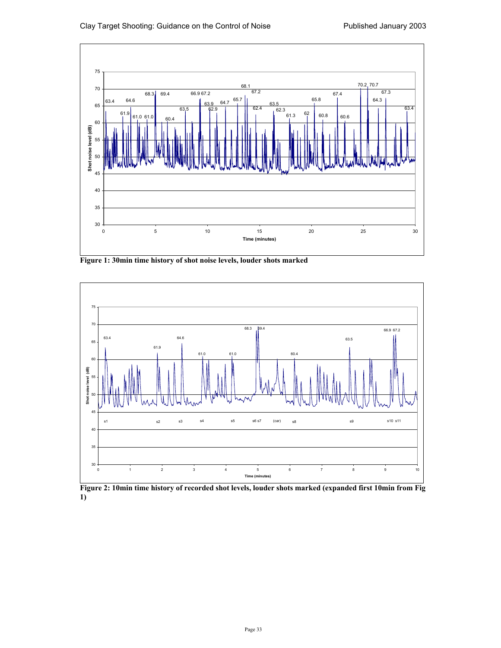

**Figure 1: 30min time history of shot noise levels, louder shots marked** 



**Figure 2: 10min time history of recorded shot levels, louder shots marked (expanded first 10min from Fig 1)**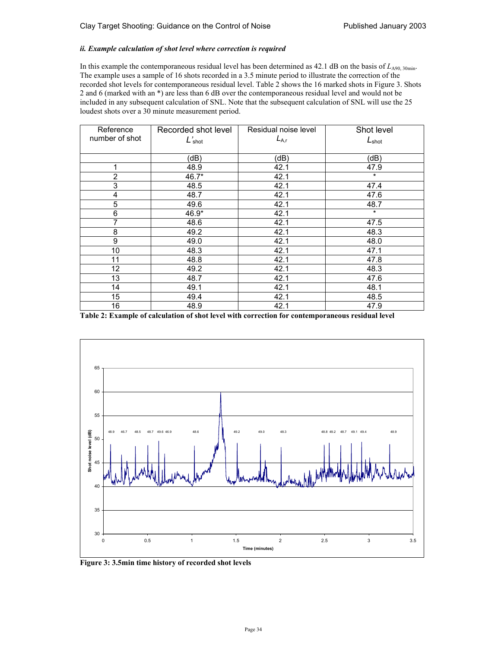#### *ii. Example calculation of shot level where correction is required*

In this example the contemporaneous residual level has been determined as 42.1 dB on the basis of *L*<sub>A90, 30min</sub>. The example uses a sample of 16 shots recorded in a 3.5 minute period to illustrate the correction of the recorded shot levels for contemporaneous residual level. Table 2 shows the 16 marked shots in Figure 3. Shots 2 and 6 (marked with an \*) are less than 6 dB over the contemporaneous residual level and would not be included in any subsequent calculation of SNL. Note that the subsequent calculation of SNL will use the 25 loudest shots over a 30 minute measurement period.

| Reference      | Recorded shot level | Residual noise level | Shot level        |
|----------------|---------------------|----------------------|-------------------|
| number of shot | $L'$ shot           | $L_{A,r}$            | $L_{\text{shot}}$ |
|                |                     |                      |                   |
|                | (dB)                | (dB)                 | (dB)              |
| 1              | 48.9                | 42.1                 | 47.9              |
| $\overline{2}$ | 46.7*               | 42.1                 | $\star$           |
| 3              | 48.5                | 42.1                 | 47.4              |
| 4              | 48.7                | 42.1                 | 47.6              |
| 5              | 49.6                | 42.1                 | 48.7              |
| 6              | 46.9*               | 42.1                 | $\star$           |
| 7              | 48.6                | 42.1                 | 47.5              |
| 8              | 49.2                | 42.1                 | 48.3              |
| 9              | 49.0                | 42.1                 | 48.0              |
| 10             | 48.3                | 42.1                 | 47.1              |
| 11             | 48.8                | 42.1                 | 47.8              |
| 12             | 49.2                | 42.1                 | 48.3              |
| 13             | 48.7                | 42.1                 | 47.6              |
| 14             | 49.1                | 42.1                 | 48.1              |
| 15             | 49.4                | 42.1                 | 48.5              |
| 16             | 48.9                | 42.1                 | 47.9              |

**Table 2: Example of calculation of shot level with correction for contemporaneous residual level** 



**Figure 3: 3.5min time history of recorded shot levels**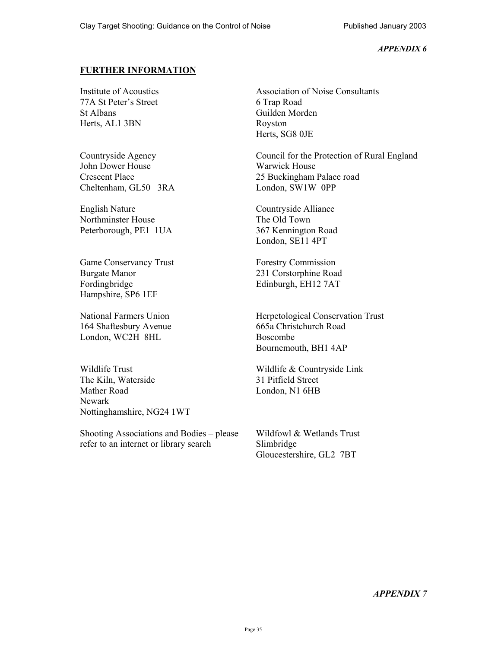## **FURTHER INFORMATION**

Institute of Acoustics 77A St Peter's Street St Albans Herts, AL1 3BN

Countryside Agency John Dower House Crescent Place Cheltenham, GL50 3RA

English Nature Northminster House Peterborough, PE1 1UA

Game Conservancy Trust Burgate Manor Fordingbridge Hampshire, SP6 1EF

National Farmers Union 164 Shaftesbury Avenue London, WC2H 8HL

Wildlife Trust The Kiln, Waterside Mather Road Newark Nottinghamshire, NG24 1WT

Shooting Associations and Bodies – please refer to an internet or library search

Association of Noise Consultants 6 Trap Road Guilden Morden Royston Herts, SG8 0JE

Council for the Protection of Rural England Warwick House 25 Buckingham Palace road London, SW1W 0PP

Countryside Alliance The Old Town 367 Kennington Road London, SE11 4PT

Forestry Commission 231 Corstorphine Road Edinburgh, EH12 7AT

Herpetological Conservation Trust 665a Christchurch Road Boscombe Bournemouth, BH1 4AP

Wildlife & Countryside Link 31 Pitfield Street London, N1 6HB

Wildfowl & Wetlands Trust Slimbridge Gloucestershire, GL2 7BT

*APPENDIX 7*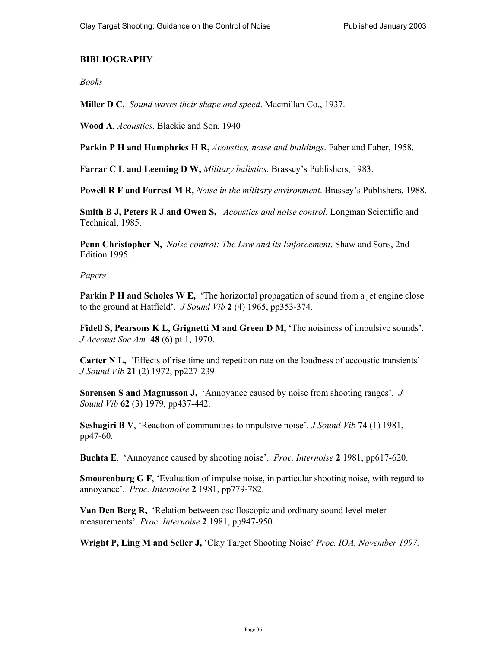## **BIBLIOGRAPHY**

*Books* 

**Miller D C,** *Sound waves their shape and speed*. Macmillan Co., 1937.

**Wood A**, *Acoustics*. Blackie and Son, 1940

**Parkin P H and Humphries H R,** *Acoustics, noise and buildings*. Faber and Faber, 1958.

**Farrar C L and Leeming D W,** *Military balistics*. Brassey's Publishers, 1983.

**Powell R F and Forrest M R,** *Noise in the military environment*. Brassey's Publishers, 1988.

**Smith B J, Peters R J and Owen S,** *Acoustics and noise control*. Longman Scientific and Technical, 1985.

**Penn Christopher N,** *Noise control: The Law and its Enforcement*. Shaw and Sons, 2nd Edition 1995.

## *Papers*

**Parkin P H and Scholes W E,** The horizontal propagation of sound from a jet engine close to the ground at Hatfield'. *J Sound Vib* **2** (4) 1965, pp353-374.

**Fidell S, Pearsons K L, Grignetti M and Green D M,** 'The noisiness of impulsive sounds'. *J Accoust Soc Am* **48** (6) pt 1, 1970.

**Carter N L,**  'Effects of rise time and repetition rate on the loudness of accoustic transients' *J Sound Vib* **21** (2) 1972, pp227-239

**Sorensen S and Magnusson J,** 'Annoyance caused by noise from shooting ranges'. *J Sound Vib* **62** (3) 1979, pp437-442.

**Seshagiri B V**, 'Reaction of communities to impulsive noise'. *J Sound Vib* **74** (1) 1981, pp47-60.

**Buchta E**. 'Annoyance caused by shooting noise'. *Proc. Internoise* **2** 1981, pp617-620.

**Smoorenburg G F**, 'Evaluation of impulse noise, in particular shooting noise, with regard to annoyance'. *Proc. Internoise* **2** 1981, pp779-782.

**Van Den Berg R,** 'Relation between oscilloscopic and ordinary sound level meter measurements'. *Proc. Internoise* **2** 1981, pp947-950.

**Wright P, Ling M and Seller J,** 'Clay Target Shooting Noise' *Proc. IOA, November 1997.*